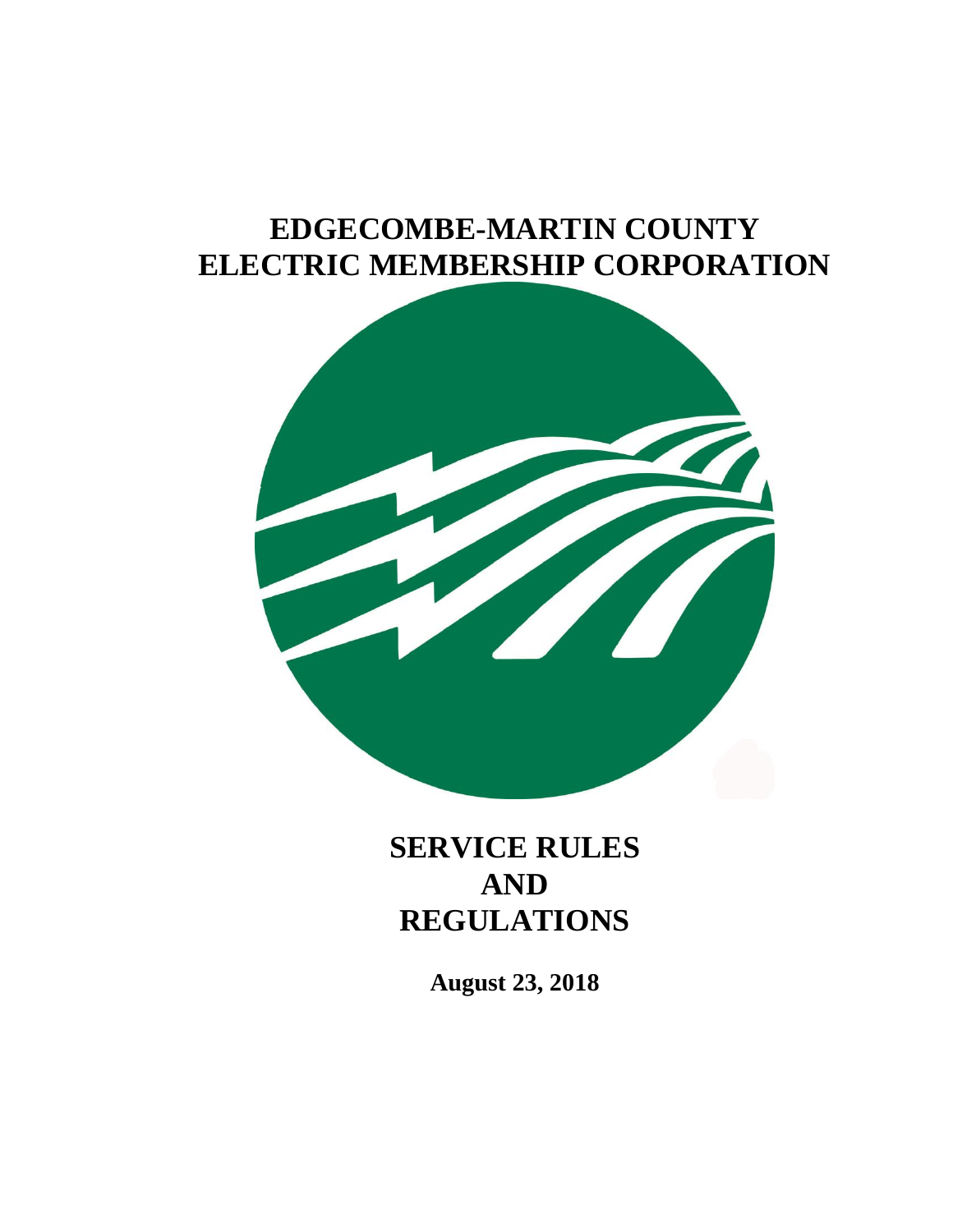# **EDGECOMBE-MARTIN COUNTY ELECTRIC MEMBERSHIP CORPORATION**



**SERVICE RULES AND REGULATIONS**

**August 23, 2018**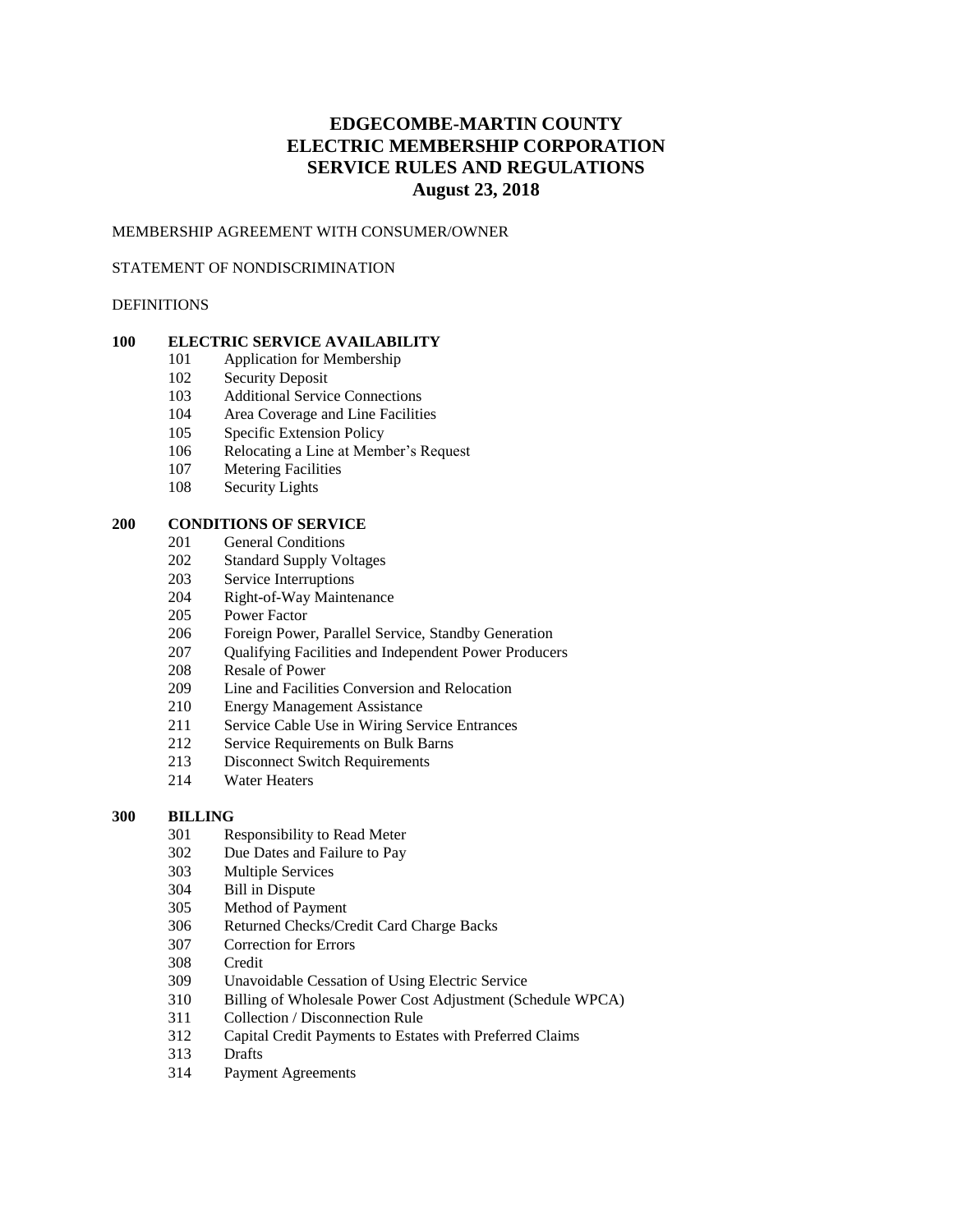# **EDGECOMBE-MARTIN COUNTY ELECTRIC MEMBERSHIP CORPORATION SERVICE RULES AND REGULATIONS August 23, 2018**

# MEMBERSHIP AGREEMENT WITH CONSUMER/OWNER

#### STATEMENT OF NONDISCRIMINATION

# DEFINITIONS

# **ELECTRIC SERVICE AVAILABILITY**

- Application for Membership
- Security Deposit
- Additional Service Connections
- Area Coverage and Line Facilities
- Specific Extension Policy
- Relocating a Line at Member's Request
- Metering Facilities
- Security Lights

# **CONDITIONS OF SERVICE**

- General Conditions
- Standard Supply Voltages
- Service Interruptions
- Right-of-Way Maintenance
- Power Factor
- Foreign Power, Parallel Service, Standby Generation
- 207 Oualifying Facilities and Independent Power Producers
- Resale of Power
- Line and Facilities Conversion and Relocation
- Energy Management Assistance
- Service Cable Use in Wiring Service Entrances
- Service Requirements on Bulk Barns
- Disconnect Switch Requirements
- Water Heaters

# **BILLING**

- Responsibility to Read Meter
- Due Dates and Failure to Pay
- Multiple Services
- Bill in Dispute
- Method of Payment
- Returned Checks/Credit Card Charge Backs
- Correction for Errors
- Credit
- Unavoidable Cessation of Using Electric Service
- Billing of Wholesale Power Cost Adjustment (Schedule WPCA)
- Collection / Disconnection Rule
- Capital Credit Payments to Estates with Preferred Claims
- Drafts
- Payment Agreements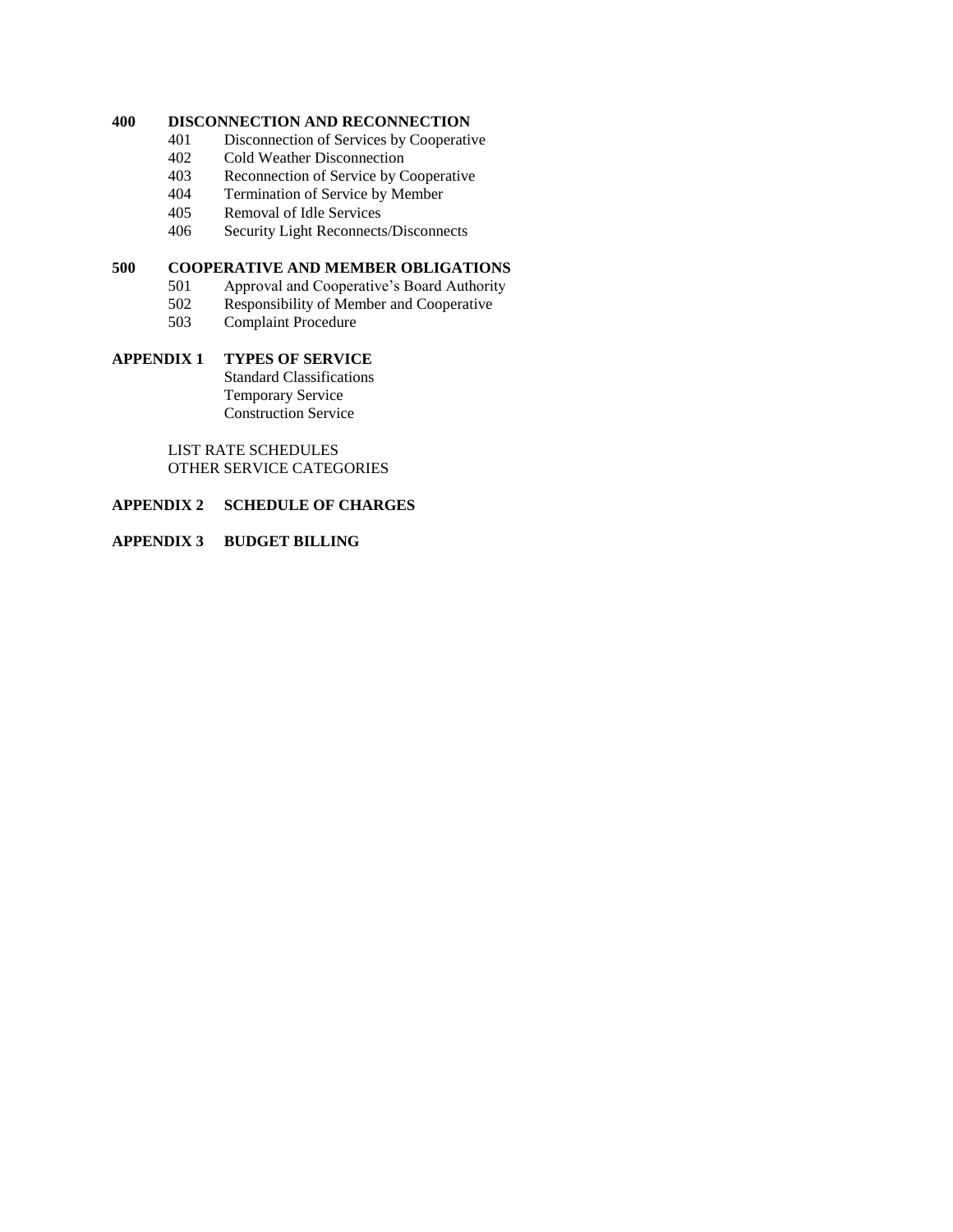# **400 DISCONNECTION AND RECONNECTION**

- 401 Disconnection of Services by Cooperative
- 402 Cold Weather Disconnection<br>403 Reconnection of Service by C
- Reconnection of Service by Cooperative
- 404 Termination of Service by Member
- 405 Removal of Idle Services
- 406 Security Light Reconnects/Disconnects

# **500 COOPERATIVE AND MEMBER OBLIGATIONS**

- 501 Approval and Cooperative's Board Authority
- 502 Responsibility of Member and Cooperative
- 503 Complaint Procedure

# **APPENDIX 1 TYPES OF SERVICE**

Standard Classifications Temporary Service Construction Service

LIST RATE SCHEDULES OTHER SERVICE CATEGORIES

# **APPENDIX 2 SCHEDULE OF CHARGES**

# **APPENDIX 3 BUDGET BILLING**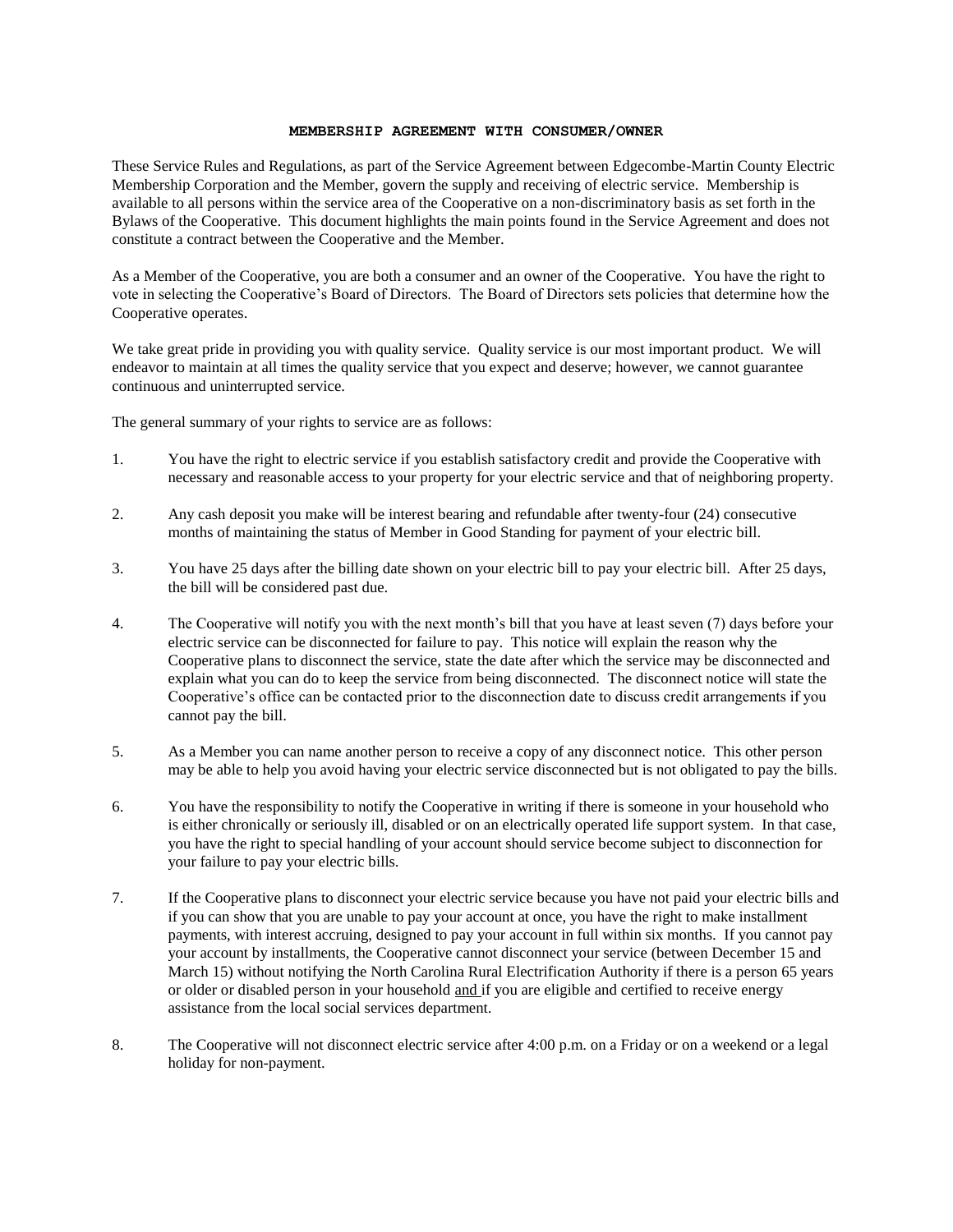#### **MEMBERSHIP AGREEMENT WITH CONSUMER/OWNER**

These Service Rules and Regulations, as part of the Service Agreement between Edgecombe-Martin County Electric Membership Corporation and the Member, govern the supply and receiving of electric service. Membership is available to all persons within the service area of the Cooperative on a non-discriminatory basis as set forth in the Bylaws of the Cooperative. This document highlights the main points found in the Service Agreement and does not constitute a contract between the Cooperative and the Member.

As a Member of the Cooperative, you are both a consumer and an owner of the Cooperative. You have the right to vote in selecting the Cooperative's Board of Directors. The Board of Directors sets policies that determine how the Cooperative operates.

We take great pride in providing you with quality service. Quality service is our most important product. We will endeavor to maintain at all times the quality service that you expect and deserve; however, we cannot guarantee continuous and uninterrupted service.

The general summary of your rights to service are as follows:

- 1. You have the right to electric service if you establish satisfactory credit and provide the Cooperative with necessary and reasonable access to your property for your electric service and that of neighboring property.
- 2. Any cash deposit you make will be interest bearing and refundable after twenty-four (24) consecutive months of maintaining the status of Member in Good Standing for payment of your electric bill.
- 3. You have 25 days after the billing date shown on your electric bill to pay your electric bill. After 25 days, the bill will be considered past due.
- 4. The Cooperative will notify you with the next month's bill that you have at least seven (7) days before your electric service can be disconnected for failure to pay. This notice will explain the reason why the Cooperative plans to disconnect the service, state the date after which the service may be disconnected and explain what you can do to keep the service from being disconnected. The disconnect notice will state the Cooperative's office can be contacted prior to the disconnection date to discuss credit arrangements if you cannot pay the bill.
- 5. As a Member you can name another person to receive a copy of any disconnect notice. This other person may be able to help you avoid having your electric service disconnected but is not obligated to pay the bills.
- 6. You have the responsibility to notify the Cooperative in writing if there is someone in your household who is either chronically or seriously ill, disabled or on an electrically operated life support system. In that case, you have the right to special handling of your account should service become subject to disconnection for your failure to pay your electric bills.
- 7. If the Cooperative plans to disconnect your electric service because you have not paid your electric bills and if you can show that you are unable to pay your account at once, you have the right to make installment payments, with interest accruing, designed to pay your account in full within six months. If you cannot pay your account by installments, the Cooperative cannot disconnect your service (between December 15 and March 15) without notifying the North Carolina Rural Electrification Authority if there is a person 65 years or older or disabled person in your household and if you are eligible and certified to receive energy assistance from the local social services department.
- 8. The Cooperative will not disconnect electric service after 4:00 p.m. on a Friday or on a weekend or a legal holiday for non-payment.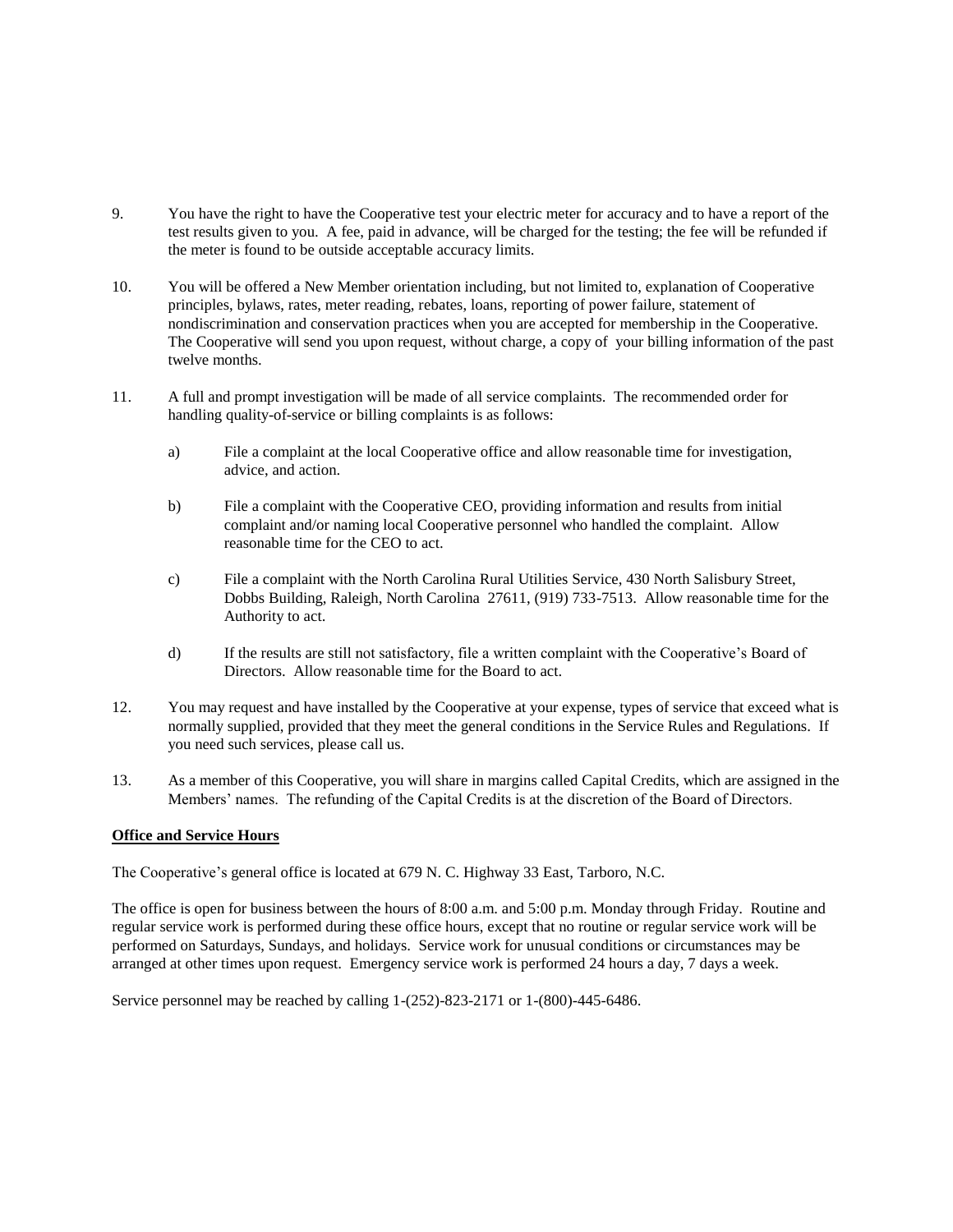- 9. You have the right to have the Cooperative test your electric meter for accuracy and to have a report of the test results given to you. A fee, paid in advance, will be charged for the testing; the fee will be refunded if the meter is found to be outside acceptable accuracy limits.
- 10. You will be offered a New Member orientation including, but not limited to, explanation of Cooperative principles, bylaws, rates, meter reading, rebates, loans, reporting of power failure, statement of nondiscrimination and conservation practices when you are accepted for membership in the Cooperative. The Cooperative will send you upon request, without charge, a copy of your billing information of the past twelve months.
- 11. A full and prompt investigation will be made of all service complaints. The recommended order for handling quality-of-service or billing complaints is as follows:
	- a) File a complaint at the local Cooperative office and allow reasonable time for investigation, advice, and action.
	- b) File a complaint with the Cooperative CEO, providing information and results from initial complaint and/or naming local Cooperative personnel who handled the complaint. Allow reasonable time for the CEO to act.
	- c) File a complaint with the North Carolina Rural Utilities Service, 430 North Salisbury Street, Dobbs Building, Raleigh, North Carolina 27611, (919) 733-7513. Allow reasonable time for the Authority to act.
	- d) If the results are still not satisfactory, file a written complaint with the Cooperative's Board of Directors. Allow reasonable time for the Board to act.
- 12. You may request and have installed by the Cooperative at your expense, types of service that exceed what is normally supplied, provided that they meet the general conditions in the Service Rules and Regulations. If you need such services, please call us.
- 13. As a member of this Cooperative, you will share in margins called Capital Credits, which are assigned in the Members' names. The refunding of the Capital Credits is at the discretion of the Board of Directors.

#### **Office and Service Hours**

The Cooperative's general office is located at 679 N. C. Highway 33 East, Tarboro, N.C.

The office is open for business between the hours of 8:00 a.m. and 5:00 p.m. Monday through Friday. Routine and regular service work is performed during these office hours, except that no routine or regular service work will be performed on Saturdays, Sundays, and holidays. Service work for unusual conditions or circumstances may be arranged at other times upon request. Emergency service work is performed 24 hours a day, 7 days a week.

Service personnel may be reached by calling 1-(252)-823-2171 or 1-(800)-445-6486.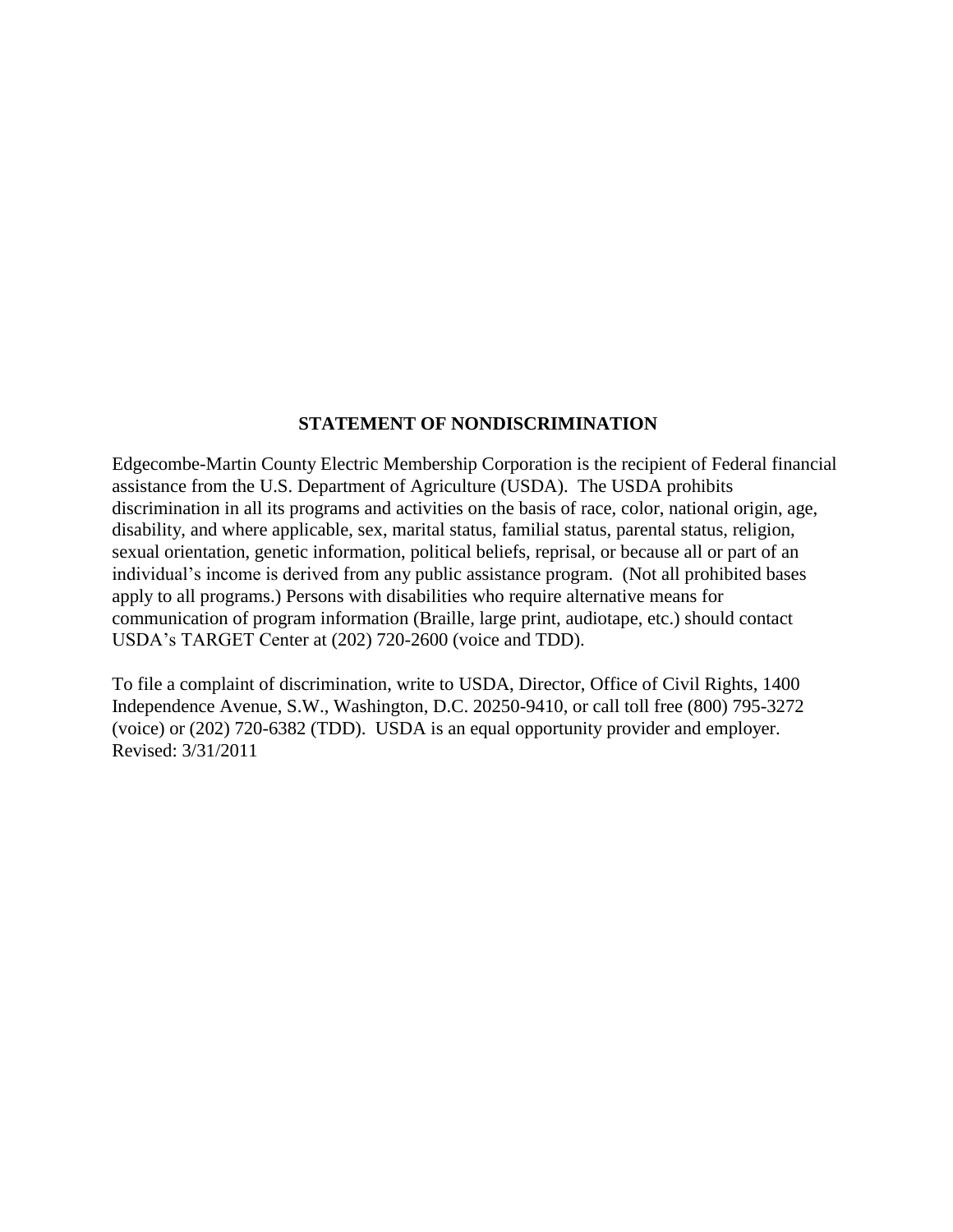# **STATEMENT OF NONDISCRIMINATION**

Edgecombe-Martin County Electric Membership Corporation is the recipient of Federal financial assistance from the U.S. Department of Agriculture (USDA). The USDA prohibits discrimination in all its programs and activities on the basis of race, color, national origin, age, disability, and where applicable, sex, marital status, familial status, parental status, religion, sexual orientation, genetic information, political beliefs, reprisal, or because all or part of an individual's income is derived from any public assistance program. (Not all prohibited bases apply to all programs.) Persons with disabilities who require alternative means for communication of program information (Braille, large print, audiotape, etc.) should contact USDA's TARGET Center at (202) 720-2600 (voice and TDD).

To file a complaint of discrimination, write to USDA, Director, Office of Civil Rights, 1400 Independence Avenue, S.W., Washington, D.C. 20250-9410, or call toll free (800) 795-3272 (voice) or (202) 720-6382 (TDD). USDA is an equal opportunity provider and employer. Revised: 3/31/2011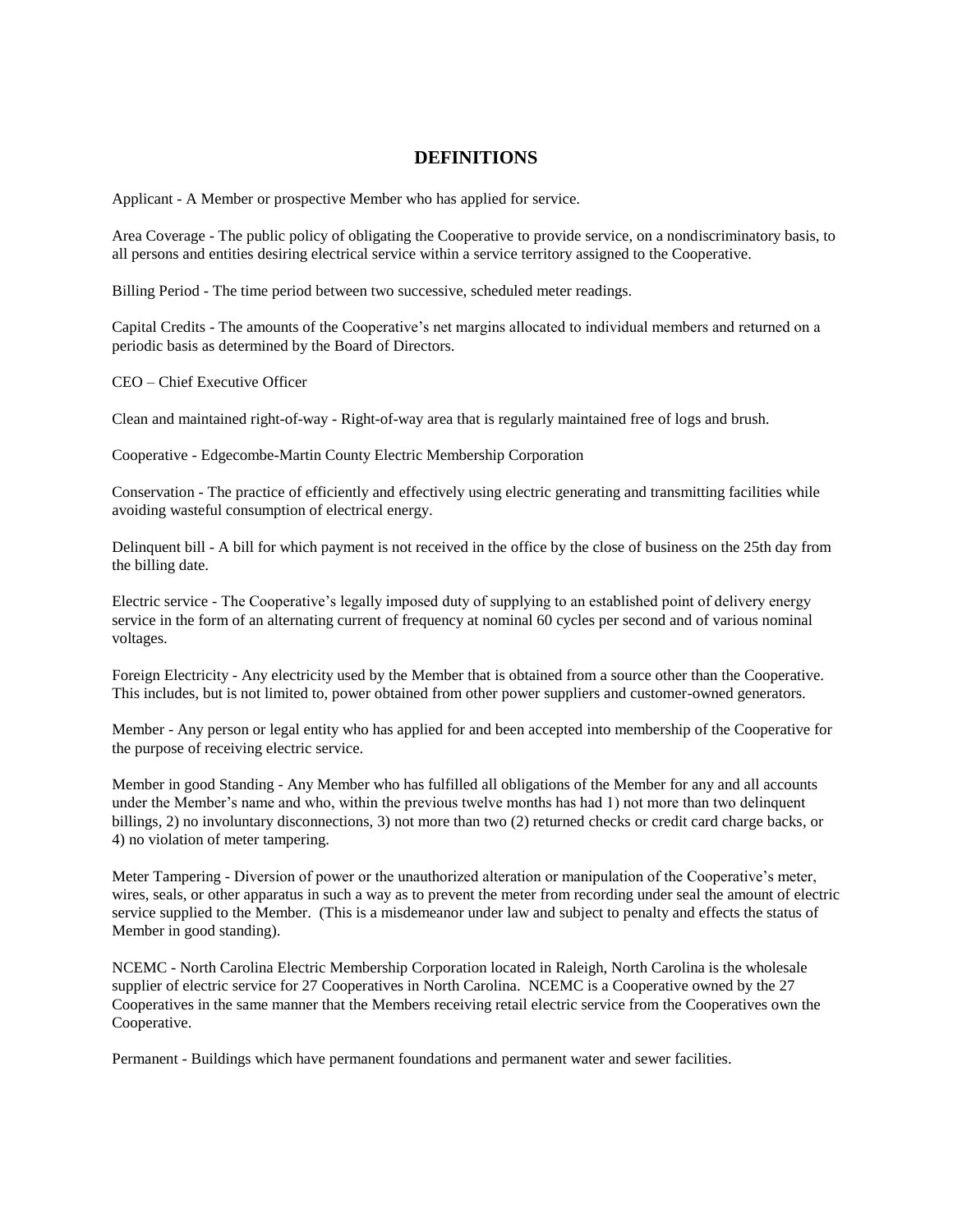# **DEFINITIONS**

Applicant - A Member or prospective Member who has applied for service.

Area Coverage - The public policy of obligating the Cooperative to provide service, on a nondiscriminatory basis, to all persons and entities desiring electrical service within a service territory assigned to the Cooperative.

Billing Period - The time period between two successive, scheduled meter readings.

Capital Credits - The amounts of the Cooperative's net margins allocated to individual members and returned on a periodic basis as determined by the Board of Directors.

CEO – Chief Executive Officer

Clean and maintained right-of-way - Right-of-way area that is regularly maintained free of logs and brush.

Cooperative - Edgecombe-Martin County Electric Membership Corporation

Conservation - The practice of efficiently and effectively using electric generating and transmitting facilities while avoiding wasteful consumption of electrical energy.

Delinquent bill - A bill for which payment is not received in the office by the close of business on the 25th day from the billing date.

Electric service - The Cooperative's legally imposed duty of supplying to an established point of delivery energy service in the form of an alternating current of frequency at nominal 60 cycles per second and of various nominal voltages.

Foreign Electricity - Any electricity used by the Member that is obtained from a source other than the Cooperative. This includes, but is not limited to, power obtained from other power suppliers and customer-owned generators.

Member - Any person or legal entity who has applied for and been accepted into membership of the Cooperative for the purpose of receiving electric service.

Member in good Standing - Any Member who has fulfilled all obligations of the Member for any and all accounts under the Member's name and who, within the previous twelve months has had 1) not more than two delinquent billings, 2) no involuntary disconnections, 3) not more than two (2) returned checks or credit card charge backs, or 4) no violation of meter tampering.

Meter Tampering - Diversion of power or the unauthorized alteration or manipulation of the Cooperative's meter, wires, seals, or other apparatus in such a way as to prevent the meter from recording under seal the amount of electric service supplied to the Member. (This is a misdemeanor under law and subject to penalty and effects the status of Member in good standing).

NCEMC - North Carolina Electric Membership Corporation located in Raleigh, North Carolina is the wholesale supplier of electric service for 27 Cooperatives in North Carolina. NCEMC is a Cooperative owned by the 27 Cooperatives in the same manner that the Members receiving retail electric service from the Cooperatives own the Cooperative.

Permanent - Buildings which have permanent foundations and permanent water and sewer facilities.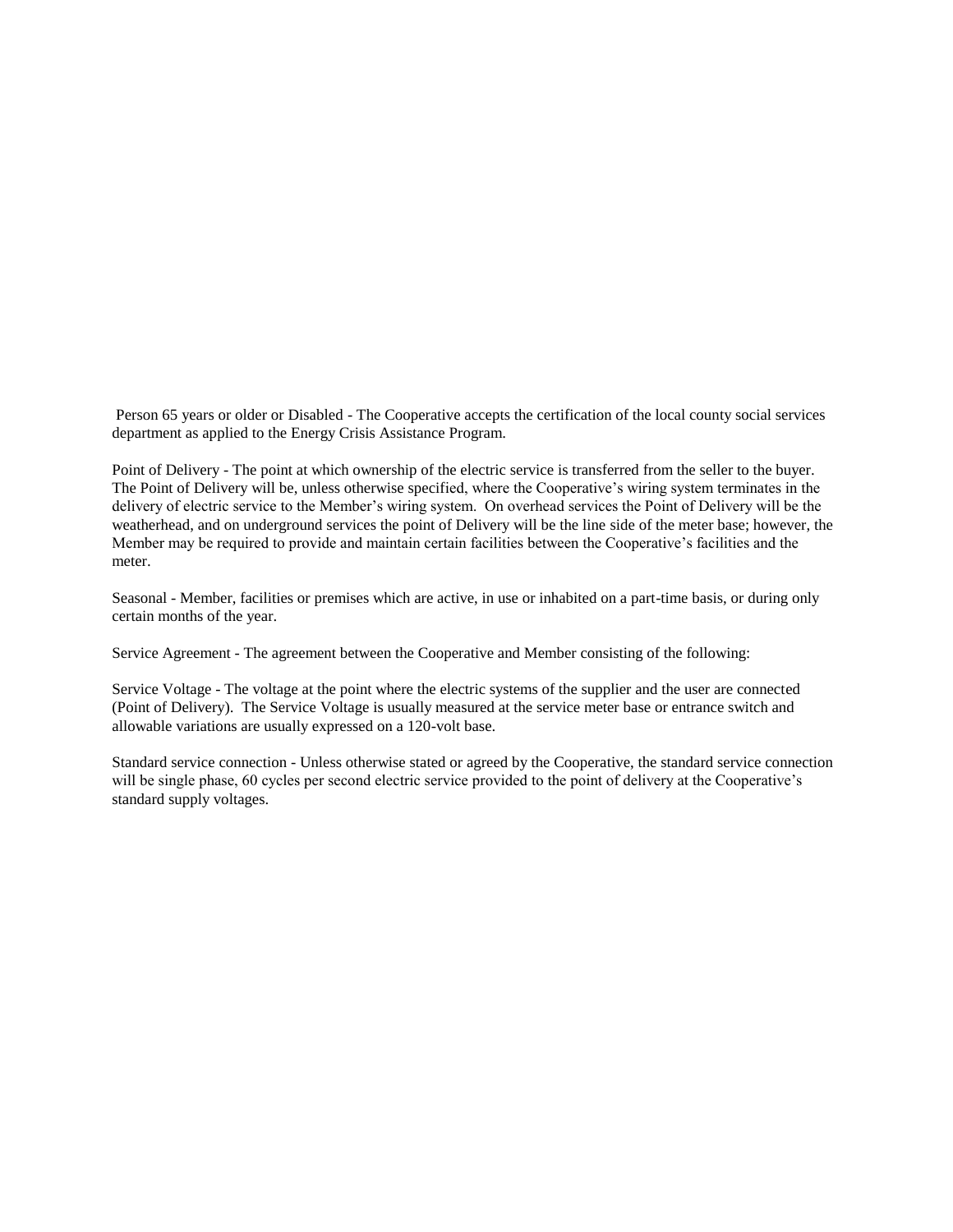Person 65 years or older or Disabled - The Cooperative accepts the certification of the local county social services department as applied to the Energy Crisis Assistance Program.

Point of Delivery - The point at which ownership of the electric service is transferred from the seller to the buyer. The Point of Delivery will be, unless otherwise specified, where the Cooperative's wiring system terminates in the delivery of electric service to the Member's wiring system. On overhead services the Point of Delivery will be the weatherhead, and on underground services the point of Delivery will be the line side of the meter base; however, the Member may be required to provide and maintain certain facilities between the Cooperative's facilities and the meter.

Seasonal - Member, facilities or premises which are active, in use or inhabited on a part-time basis, or during only certain months of the year.

Service Agreement - The agreement between the Cooperative and Member consisting of the following:

Service Voltage - The voltage at the point where the electric systems of the supplier and the user are connected (Point of Delivery). The Service Voltage is usually measured at the service meter base or entrance switch and allowable variations are usually expressed on a 120-volt base.

Standard service connection - Unless otherwise stated or agreed by the Cooperative, the standard service connection will be single phase, 60 cycles per second electric service provided to the point of delivery at the Cooperative's standard supply voltages.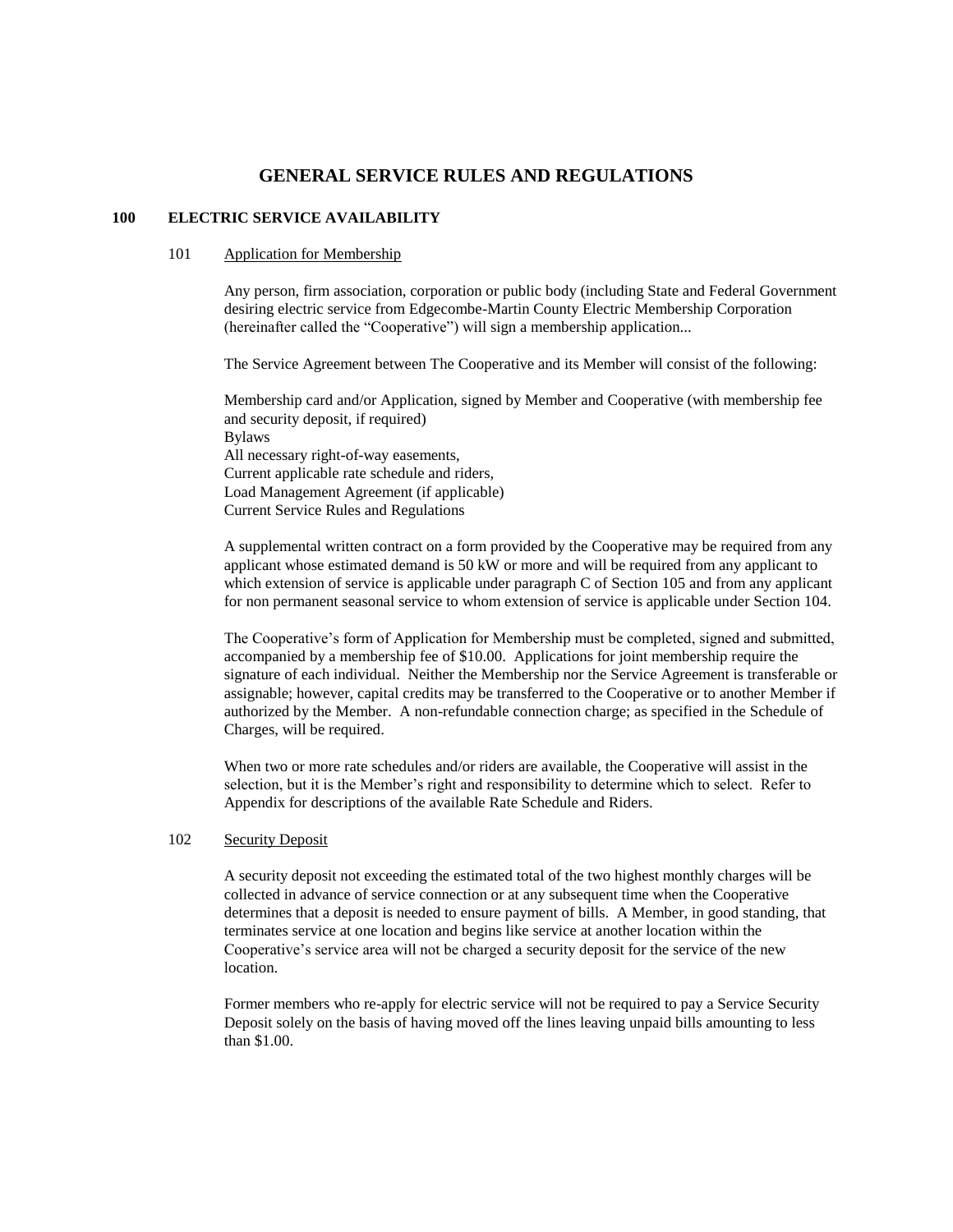# **GENERAL SERVICE RULES AND REGULATIONS**

# **100 ELECTRIC SERVICE AVAILABILITY**

#### 101 Application for Membership

Any person, firm association, corporation or public body (including State and Federal Government desiring electric service from Edgecombe-Martin County Electric Membership Corporation (hereinafter called the "Cooperative") will sign a membership application...

The Service Agreement between The Cooperative and its Member will consist of the following:

Membership card and/or Application, signed by Member and Cooperative (with membership fee and security deposit, if required) Bylaws All necessary right-of-way easements, Current applicable rate schedule and riders, Load Management Agreement (if applicable) Current Service Rules and Regulations

A supplemental written contract on a form provided by the Cooperative may be required from any applicant whose estimated demand is 50 kW or more and will be required from any applicant to which extension of service is applicable under paragraph C of Section 105 and from any applicant for non permanent seasonal service to whom extension of service is applicable under Section 104.

The Cooperative's form of Application for Membership must be completed, signed and submitted, accompanied by a membership fee of \$10.00. Applications for joint membership require the signature of each individual. Neither the Membership nor the Service Agreement is transferable or assignable; however, capital credits may be transferred to the Cooperative or to another Member if authorized by the Member. A non-refundable connection charge; as specified in the Schedule of Charges, will be required.

When two or more rate schedules and/or riders are available, the Cooperative will assist in the selection, but it is the Member's right and responsibility to determine which to select. Refer to Appendix for descriptions of the available Rate Schedule and Riders.

# 102 Security Deposit

A security deposit not exceeding the estimated total of the two highest monthly charges will be collected in advance of service connection or at any subsequent time when the Cooperative determines that a deposit is needed to ensure payment of bills. A Member, in good standing, that terminates service at one location and begins like service at another location within the Cooperative's service area will not be charged a security deposit for the service of the new location.

Former members who re-apply for electric service will not be required to pay a Service Security Deposit solely on the basis of having moved off the lines leaving unpaid bills amounting to less than \$1.00.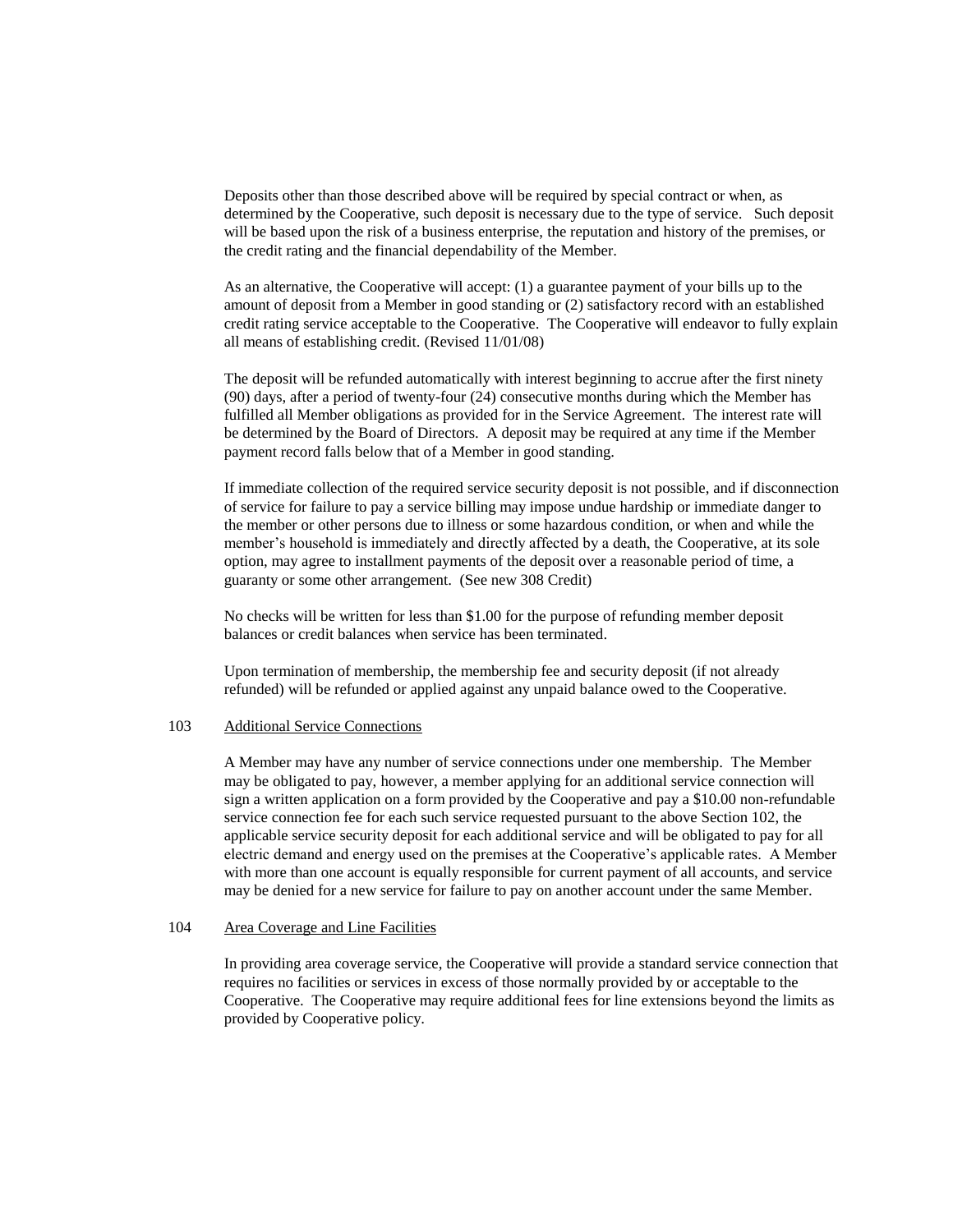Deposits other than those described above will be required by special contract or when, as determined by the Cooperative, such deposit is necessary due to the type of service. Such deposit will be based upon the risk of a business enterprise, the reputation and history of the premises, or the credit rating and the financial dependability of the Member.

As an alternative, the Cooperative will accept: (1) a guarantee payment of your bills up to the amount of deposit from a Member in good standing or (2) satisfactory record with an established credit rating service acceptable to the Cooperative. The Cooperative will endeavor to fully explain all means of establishing credit. (Revised 11/01/08)

The deposit will be refunded automatically with interest beginning to accrue after the first ninety (90) days, after a period of twenty-four (24) consecutive months during which the Member has fulfilled all Member obligations as provided for in the Service Agreement. The interest rate will be determined by the Board of Directors. A deposit may be required at any time if the Member payment record falls below that of a Member in good standing.

If immediate collection of the required service security deposit is not possible, and if disconnection of service for failure to pay a service billing may impose undue hardship or immediate danger to the member or other persons due to illness or some hazardous condition, or when and while the member's household is immediately and directly affected by a death, the Cooperative, at its sole option, may agree to installment payments of the deposit over a reasonable period of time, a guaranty or some other arrangement. (See new 308 Credit)

No checks will be written for less than \$1.00 for the purpose of refunding member deposit balances or credit balances when service has been terminated.

Upon termination of membership, the membership fee and security deposit (if not already refunded) will be refunded or applied against any unpaid balance owed to the Cooperative.

#### 103 Additional Service Connections

A Member may have any number of service connections under one membership. The Member may be obligated to pay, however, a member applying for an additional service connection will sign a written application on a form provided by the Cooperative and pay a \$10.00 non-refundable service connection fee for each such service requested pursuant to the above Section 102, the applicable service security deposit for each additional service and will be obligated to pay for all electric demand and energy used on the premises at the Cooperative's applicable rates. A Member with more than one account is equally responsible for current payment of all accounts, and service may be denied for a new service for failure to pay on another account under the same Member.

#### 104 Area Coverage and Line Facilities

In providing area coverage service, the Cooperative will provide a standard service connection that requires no facilities or services in excess of those normally provided by or acceptable to the Cooperative. The Cooperative may require additional fees for line extensions beyond the limits as provided by Cooperative policy.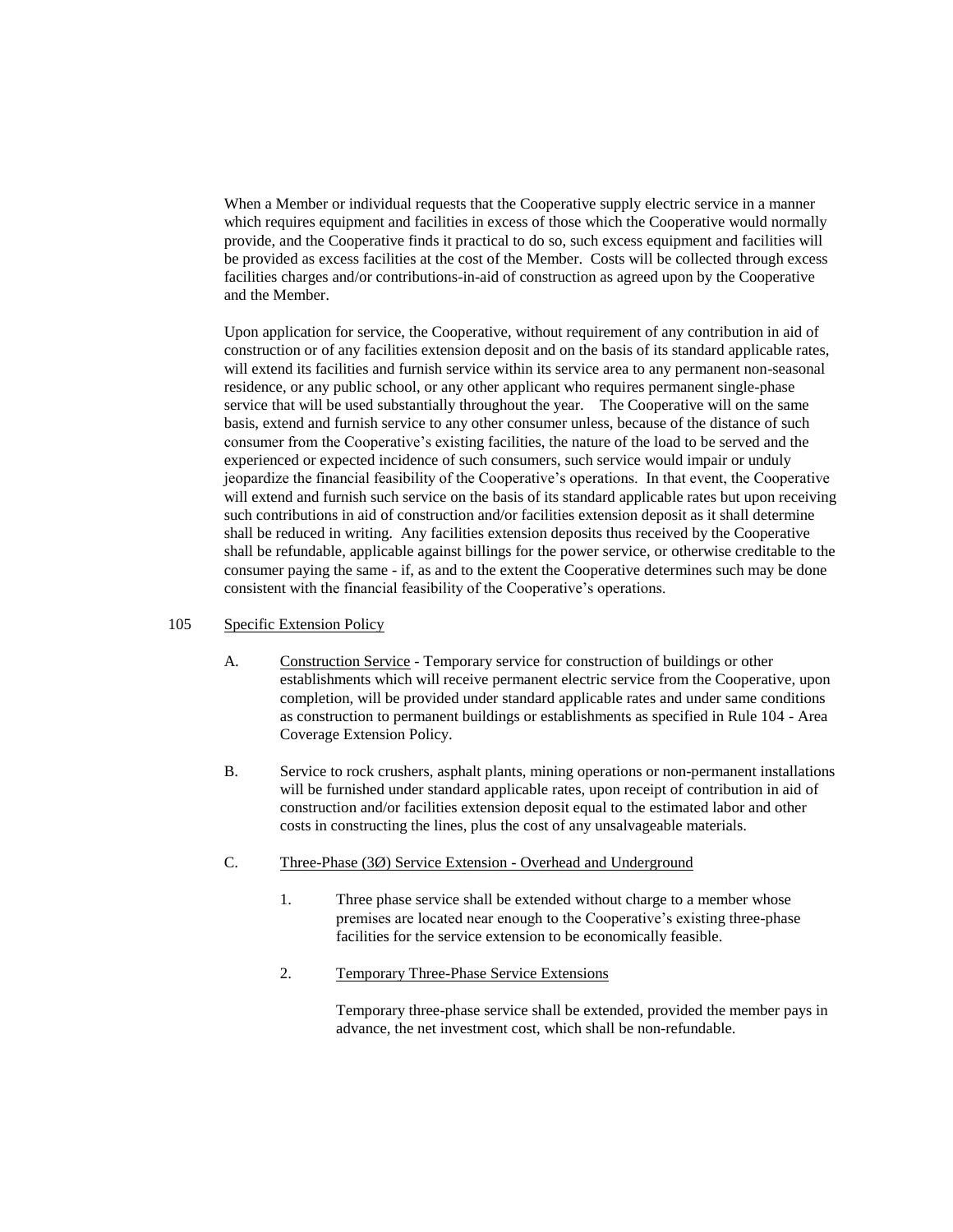When a Member or individual requests that the Cooperative supply electric service in a manner which requires equipment and facilities in excess of those which the Cooperative would normally provide, and the Cooperative finds it practical to do so, such excess equipment and facilities will be provided as excess facilities at the cost of the Member. Costs will be collected through excess facilities charges and/or contributions-in-aid of construction as agreed upon by the Cooperative and the Member.

Upon application for service, the Cooperative, without requirement of any contribution in aid of construction or of any facilities extension deposit and on the basis of its standard applicable rates, will extend its facilities and furnish service within its service area to any permanent non-seasonal residence, or any public school, or any other applicant who requires permanent single-phase service that will be used substantially throughout the year. The Cooperative will on the same basis, extend and furnish service to any other consumer unless, because of the distance of such consumer from the Cooperative's existing facilities, the nature of the load to be served and the experienced or expected incidence of such consumers, such service would impair or unduly jeopardize the financial feasibility of the Cooperative's operations. In that event, the Cooperative will extend and furnish such service on the basis of its standard applicable rates but upon receiving such contributions in aid of construction and/or facilities extension deposit as it shall determine shall be reduced in writing. Any facilities extension deposits thus received by the Cooperative shall be refundable, applicable against billings for the power service, or otherwise creditable to the consumer paying the same - if, as and to the extent the Cooperative determines such may be done consistent with the financial feasibility of the Cooperative's operations.

# 105 Specific Extension Policy

- A. Construction Service Temporary service for construction of buildings or other establishments which will receive permanent electric service from the Cooperative, upon completion, will be provided under standard applicable rates and under same conditions as construction to permanent buildings or establishments as specified in Rule 104 - Area Coverage Extension Policy.
- B. Service to rock crushers, asphalt plants, mining operations or non-permanent installations will be furnished under standard applicable rates, upon receipt of contribution in aid of construction and/or facilities extension deposit equal to the estimated labor and other costs in constructing the lines, plus the cost of any unsalvageable materials.
- C. Three-Phase (3Ø) Service Extension Overhead and Underground
	- 1. Three phase service shall be extended without charge to a member whose premises are located near enough to the Cooperative's existing three-phase facilities for the service extension to be economically feasible.
	- 2. Temporary Three-Phase Service Extensions

Temporary three-phase service shall be extended, provided the member pays in advance, the net investment cost, which shall be non-refundable.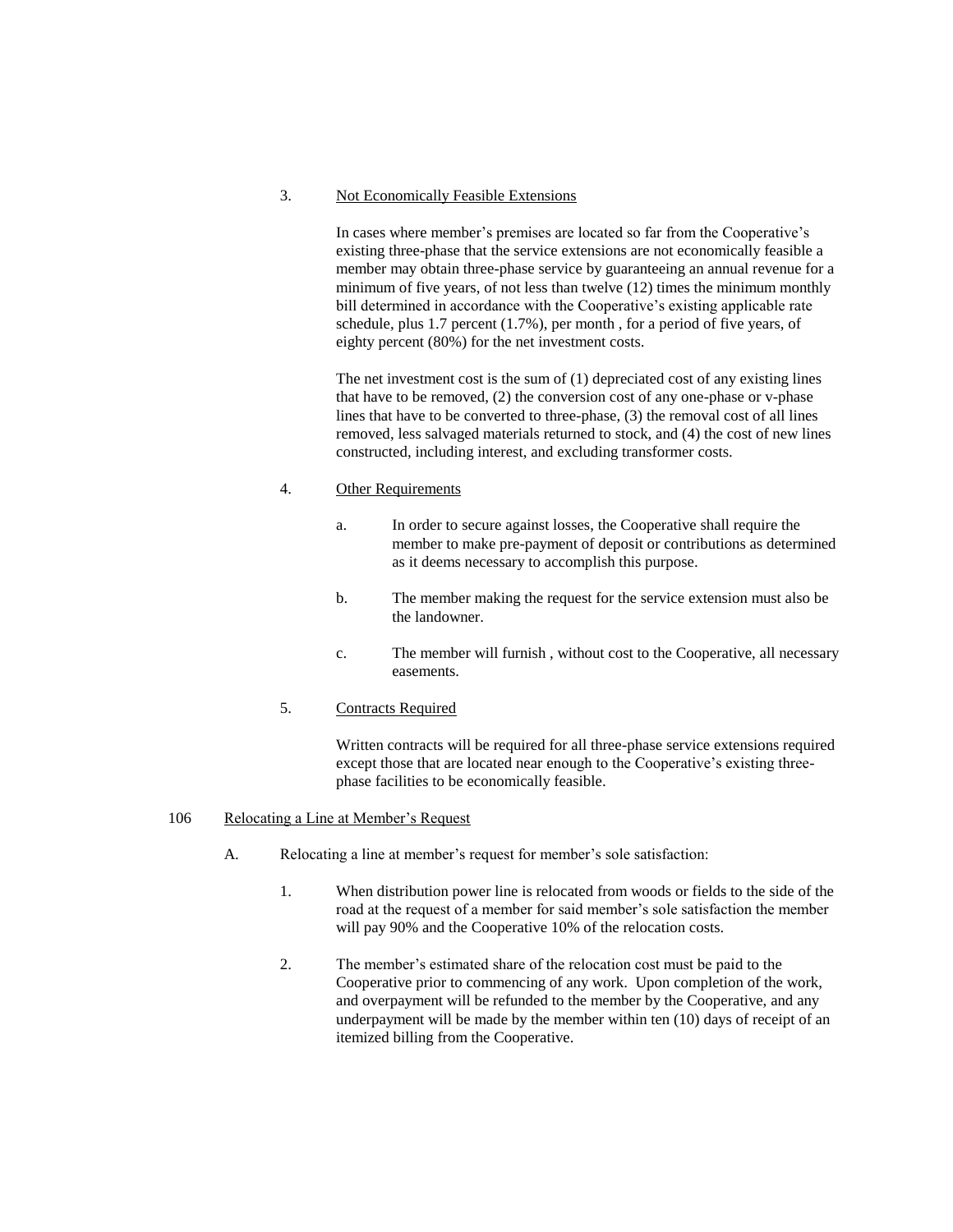# 3. Not Economically Feasible Extensions

In cases where member's premises are located so far from the Cooperative's existing three-phase that the service extensions are not economically feasible a member may obtain three-phase service by guaranteeing an annual revenue for a minimum of five years, of not less than twelve (12) times the minimum monthly bill determined in accordance with the Cooperative's existing applicable rate schedule, plus 1.7 percent (1.7%), per month , for a period of five years, of eighty percent (80%) for the net investment costs.

The net investment cost is the sum of (1) depreciated cost of any existing lines that have to be removed, (2) the conversion cost of any one-phase or v-phase lines that have to be converted to three-phase, (3) the removal cost of all lines removed, less salvaged materials returned to stock, and (4) the cost of new lines constructed, including interest, and excluding transformer costs.

# 4. Other Requirements

- a. In order to secure against losses, the Cooperative shall require the member to make pre-payment of deposit or contributions as determined as it deems necessary to accomplish this purpose.
- b. The member making the request for the service extension must also be the landowner.
- c. The member will furnish , without cost to the Cooperative, all necessary easements.

# 5. Contracts Required

Written contracts will be required for all three-phase service extensions required except those that are located near enough to the Cooperative's existing threephase facilities to be economically feasible.

#### 106 Relocating a Line at Member's Request

- A. Relocating a line at member's request for member's sole satisfaction:
	- 1. When distribution power line is relocated from woods or fields to the side of the road at the request of a member for said member's sole satisfaction the member will pay 90% and the Cooperative 10% of the relocation costs.
	- 2. The member's estimated share of the relocation cost must be paid to the Cooperative prior to commencing of any work. Upon completion of the work, and overpayment will be refunded to the member by the Cooperative, and any underpayment will be made by the member within ten (10) days of receipt of an itemized billing from the Cooperative.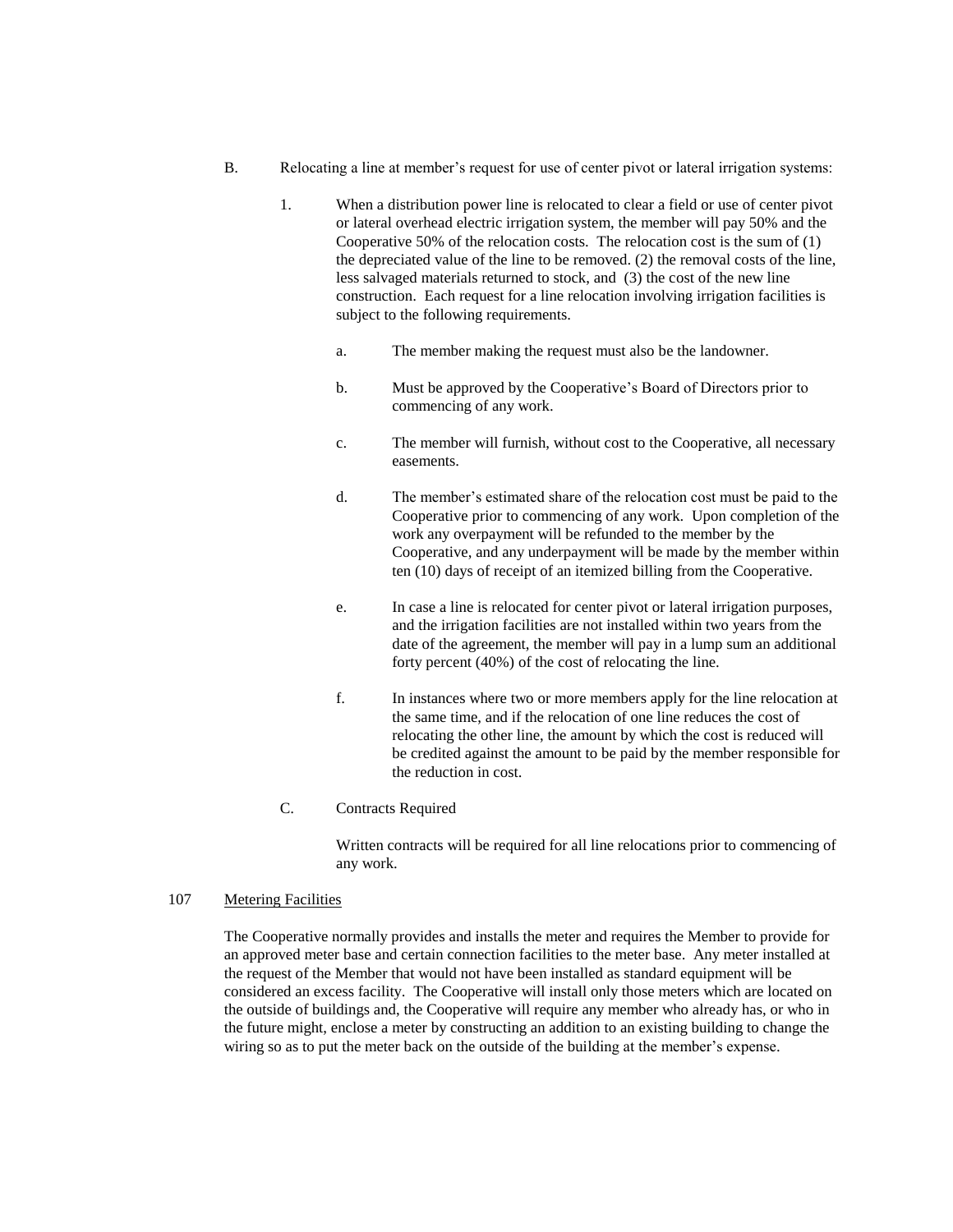- B. Relocating a line at member's request for use of center pivot or lateral irrigation systems:
	- 1. When a distribution power line is relocated to clear a field or use of center pivot or lateral overhead electric irrigation system, the member will pay 50% and the Cooperative 50% of the relocation costs. The relocation cost is the sum of (1) the depreciated value of the line to be removed. (2) the removal costs of the line, less salvaged materials returned to stock, and (3) the cost of the new line construction. Each request for a line relocation involving irrigation facilities is subject to the following requirements.
		- a. The member making the request must also be the landowner.
		- b. Must be approved by the Cooperative's Board of Directors prior to commencing of any work.
		- c. The member will furnish, without cost to the Cooperative, all necessary easements.
		- d. The member's estimated share of the relocation cost must be paid to the Cooperative prior to commencing of any work. Upon completion of the work any overpayment will be refunded to the member by the Cooperative, and any underpayment will be made by the member within ten (10) days of receipt of an itemized billing from the Cooperative.
		- e. In case a line is relocated for center pivot or lateral irrigation purposes, and the irrigation facilities are not installed within two years from the date of the agreement, the member will pay in a lump sum an additional forty percent (40%) of the cost of relocating the line.
		- f. In instances where two or more members apply for the line relocation at the same time, and if the relocation of one line reduces the cost of relocating the other line, the amount by which the cost is reduced will be credited against the amount to be paid by the member responsible for the reduction in cost.
	- C. Contracts Required

Written contracts will be required for all line relocations prior to commencing of any work.

#### 107 Metering Facilities

The Cooperative normally provides and installs the meter and requires the Member to provide for an approved meter base and certain connection facilities to the meter base. Any meter installed at the request of the Member that would not have been installed as standard equipment will be considered an excess facility. The Cooperative will install only those meters which are located on the outside of buildings and, the Cooperative will require any member who already has, or who in the future might, enclose a meter by constructing an addition to an existing building to change the wiring so as to put the meter back on the outside of the building at the member's expense.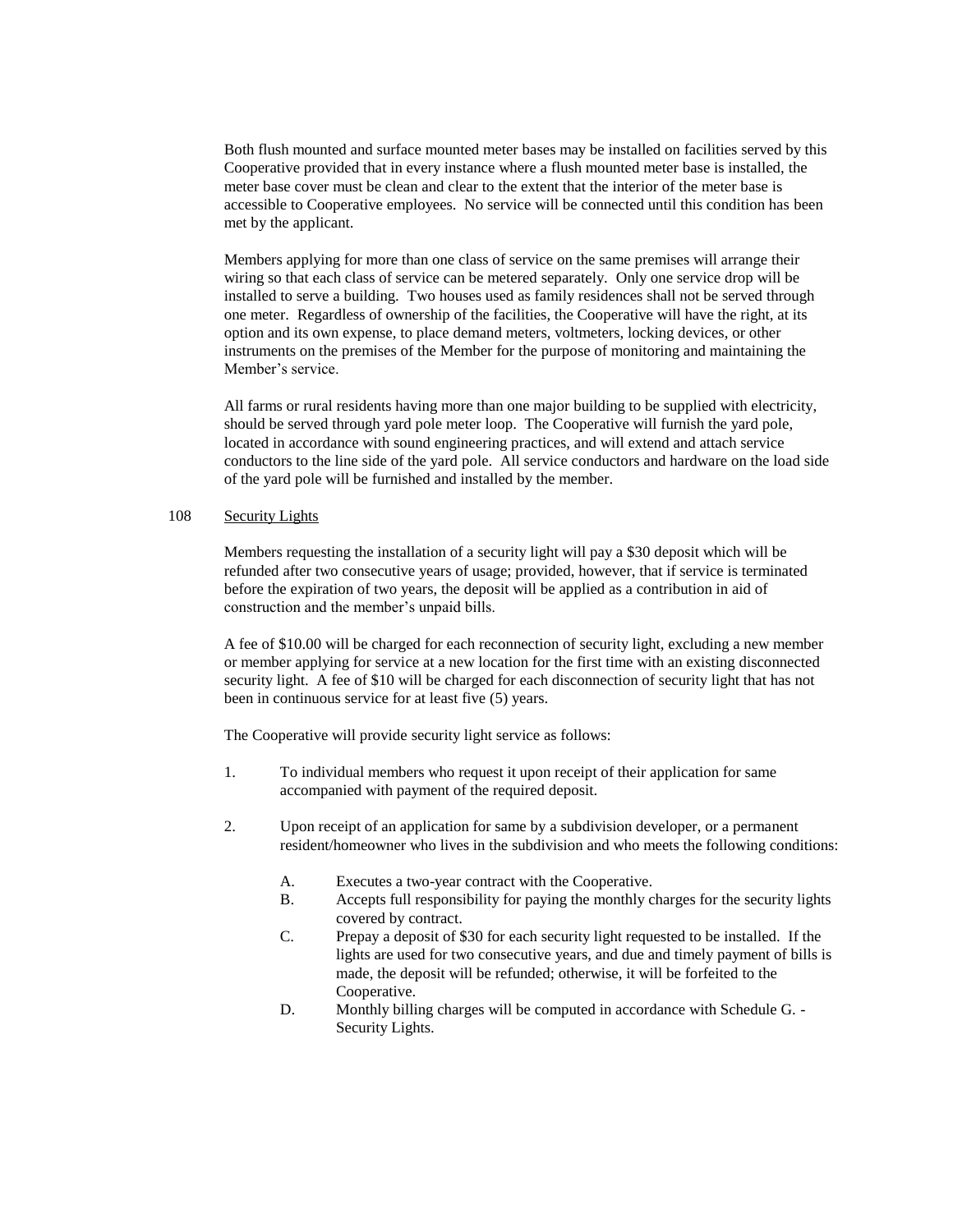Both flush mounted and surface mounted meter bases may be installed on facilities served by this Cooperative provided that in every instance where a flush mounted meter base is installed, the meter base cover must be clean and clear to the extent that the interior of the meter base is accessible to Cooperative employees. No service will be connected until this condition has been met by the applicant.

Members applying for more than one class of service on the same premises will arrange their wiring so that each class of service can be metered separately. Only one service drop will be installed to serve a building. Two houses used as family residences shall not be served through one meter. Regardless of ownership of the facilities, the Cooperative will have the right, at its option and its own expense, to place demand meters, voltmeters, locking devices, or other instruments on the premises of the Member for the purpose of monitoring and maintaining the Member's service.

All farms or rural residents having more than one major building to be supplied with electricity, should be served through yard pole meter loop. The Cooperative will furnish the yard pole, located in accordance with sound engineering practices, and will extend and attach service conductors to the line side of the yard pole. All service conductors and hardware on the load side of the yard pole will be furnished and installed by the member.

# 108 Security Lights

Members requesting the installation of a security light will pay a \$30 deposit which will be refunded after two consecutive years of usage; provided, however, that if service is terminated before the expiration of two years, the deposit will be applied as a contribution in aid of construction and the member's unpaid bills.

A fee of \$10.00 will be charged for each reconnection of security light, excluding a new member or member applying for service at a new location for the first time with an existing disconnected security light. A fee of \$10 will be charged for each disconnection of security light that has not been in continuous service for at least five (5) years.

The Cooperative will provide security light service as follows:

- 1. To individual members who request it upon receipt of their application for same accompanied with payment of the required deposit.
- 2. Upon receipt of an application for same by a subdivision developer, or a permanent resident/homeowner who lives in the subdivision and who meets the following conditions:
	- A. Executes a two-year contract with the Cooperative.
	- B. Accepts full responsibility for paying the monthly charges for the security lights covered by contract.
	- C. Prepay a deposit of \$30 for each security light requested to be installed. If the lights are used for two consecutive years, and due and timely payment of bills is made, the deposit will be refunded; otherwise, it will be forfeited to the Cooperative.
	- D. Monthly billing charges will be computed in accordance with Schedule G. Security Lights.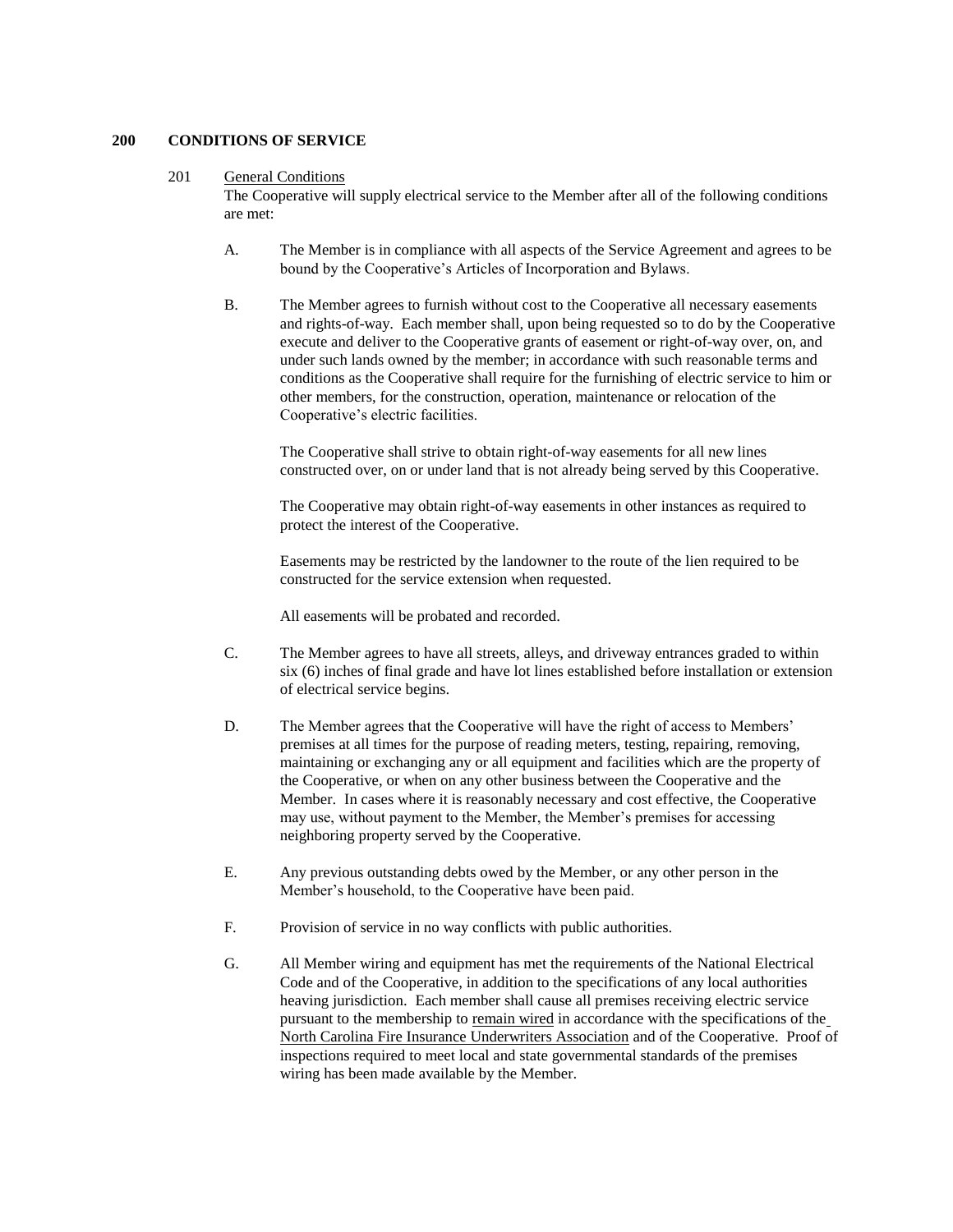# **200 CONDITIONS OF SERVICE**

#### 201 General Conditions

The Cooperative will supply electrical service to the Member after all of the following conditions are met:

- A. The Member is in compliance with all aspects of the Service Agreement and agrees to be bound by the Cooperative's Articles of Incorporation and Bylaws.
- B. The Member agrees to furnish without cost to the Cooperative all necessary easements and rights-of-way. Each member shall, upon being requested so to do by the Cooperative execute and deliver to the Cooperative grants of easement or right-of-way over, on, and under such lands owned by the member; in accordance with such reasonable terms and conditions as the Cooperative shall require for the furnishing of electric service to him or other members, for the construction, operation, maintenance or relocation of the Cooperative's electric facilities.

The Cooperative shall strive to obtain right-of-way easements for all new lines constructed over, on or under land that is not already being served by this Cooperative.

The Cooperative may obtain right-of-way easements in other instances as required to protect the interest of the Cooperative.

Easements may be restricted by the landowner to the route of the lien required to be constructed for the service extension when requested.

All easements will be probated and recorded.

- C. The Member agrees to have all streets, alleys, and driveway entrances graded to within six (6) inches of final grade and have lot lines established before installation or extension of electrical service begins.
- D. The Member agrees that the Cooperative will have the right of access to Members' premises at all times for the purpose of reading meters, testing, repairing, removing, maintaining or exchanging any or all equipment and facilities which are the property of the Cooperative, or when on any other business between the Cooperative and the Member. In cases where it is reasonably necessary and cost effective, the Cooperative may use, without payment to the Member, the Member's premises for accessing neighboring property served by the Cooperative.
- E. Any previous outstanding debts owed by the Member, or any other person in the Member's household, to the Cooperative have been paid.
- F. Provision of service in no way conflicts with public authorities.
- G. All Member wiring and equipment has met the requirements of the National Electrical Code and of the Cooperative, in addition to the specifications of any local authorities heaving jurisdiction. Each member shall cause all premises receiving electric service pursuant to the membership to remain wired in accordance with the specifications of the North Carolina Fire Insurance Underwriters Association and of the Cooperative. Proof of inspections required to meet local and state governmental standards of the premises wiring has been made available by the Member.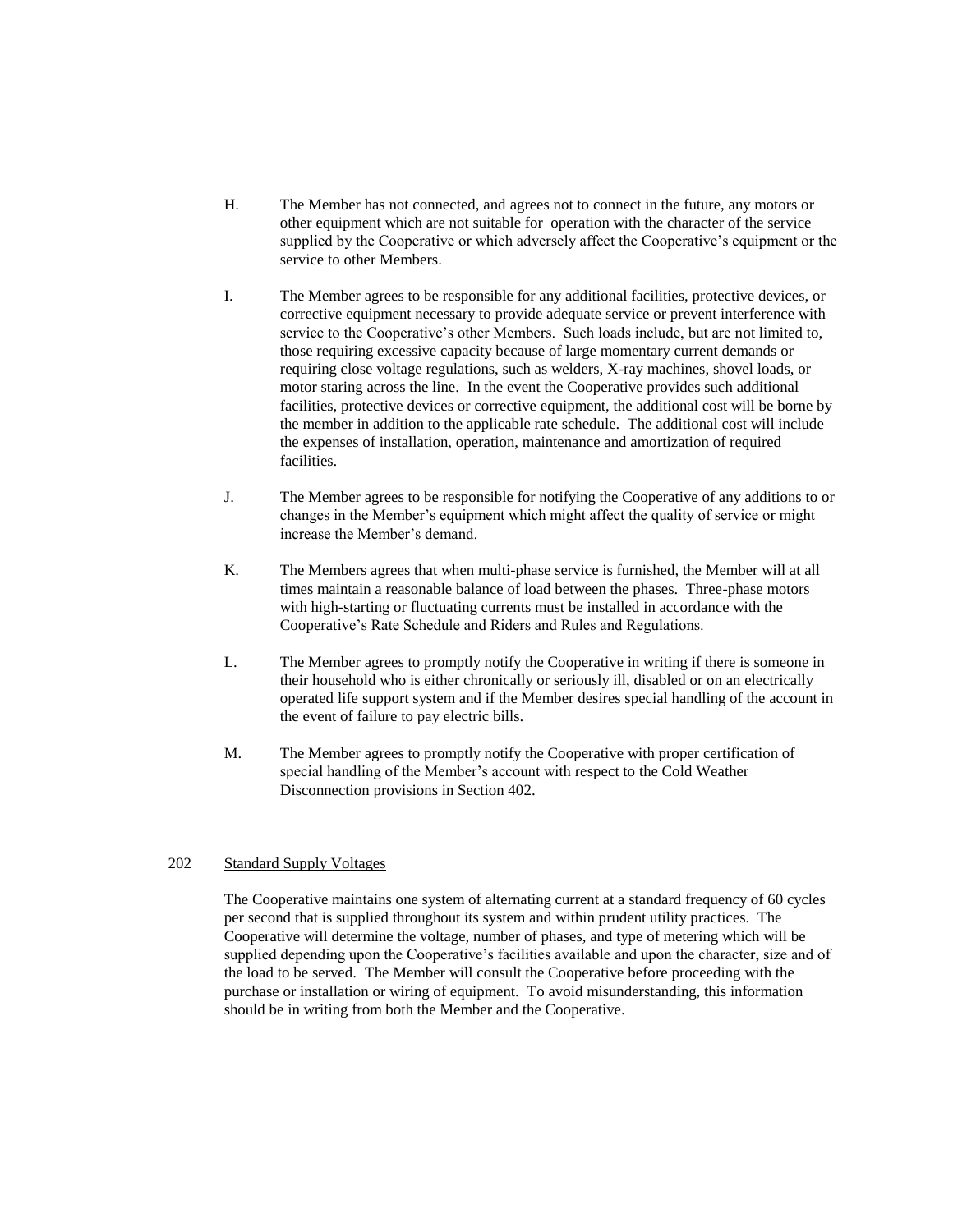- H. The Member has not connected, and agrees not to connect in the future, any motors or other equipment which are not suitable for operation with the character of the service supplied by the Cooperative or which adversely affect the Cooperative's equipment or the service to other Members.
- I. The Member agrees to be responsible for any additional facilities, protective devices, or corrective equipment necessary to provide adequate service or prevent interference with service to the Cooperative's other Members. Such loads include, but are not limited to, those requiring excessive capacity because of large momentary current demands or requiring close voltage regulations, such as welders, X-ray machines, shovel loads, or motor staring across the line. In the event the Cooperative provides such additional facilities, protective devices or corrective equipment, the additional cost will be borne by the member in addition to the applicable rate schedule. The additional cost will include the expenses of installation, operation, maintenance and amortization of required facilities.
- J. The Member agrees to be responsible for notifying the Cooperative of any additions to or changes in the Member's equipment which might affect the quality of service or might increase the Member's demand.
- K. The Members agrees that when multi-phase service is furnished, the Member will at all times maintain a reasonable balance of load between the phases. Three-phase motors with high-starting or fluctuating currents must be installed in accordance with the Cooperative's Rate Schedule and Riders and Rules and Regulations.
- L. The Member agrees to promptly notify the Cooperative in writing if there is someone in their household who is either chronically or seriously ill, disabled or on an electrically operated life support system and if the Member desires special handling of the account in the event of failure to pay electric bills.
- M. The Member agrees to promptly notify the Cooperative with proper certification of special handling of the Member's account with respect to the Cold Weather Disconnection provisions in Section 402.

#### 202 Standard Supply Voltages

The Cooperative maintains one system of alternating current at a standard frequency of 60 cycles per second that is supplied throughout its system and within prudent utility practices. The Cooperative will determine the voltage, number of phases, and type of metering which will be supplied depending upon the Cooperative's facilities available and upon the character, size and of the load to be served. The Member will consult the Cooperative before proceeding with the purchase or installation or wiring of equipment. To avoid misunderstanding, this information should be in writing from both the Member and the Cooperative.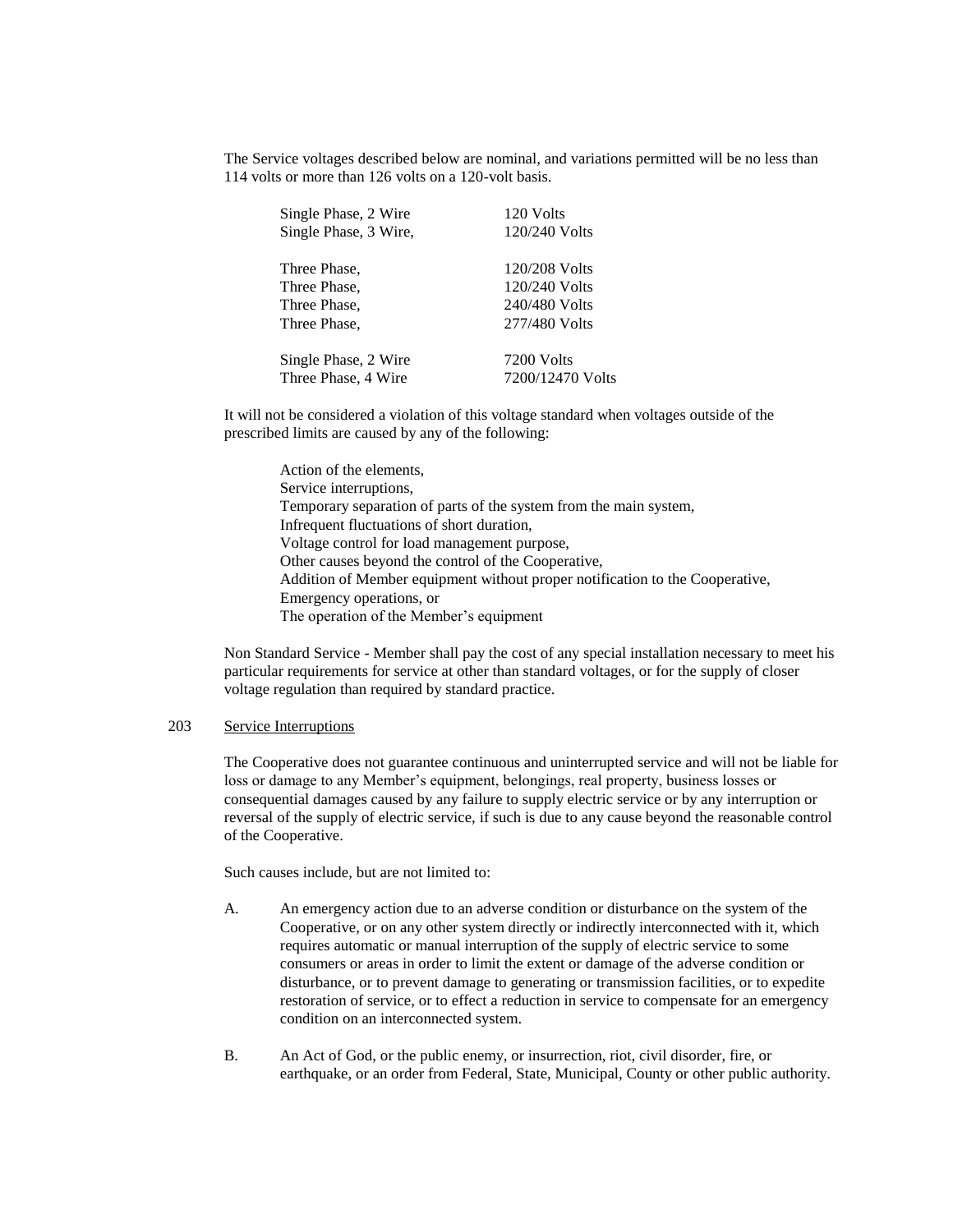The Service voltages described below are nominal, and variations permitted will be no less than 114 volts or more than 126 volts on a 120-volt basis.

| Single Phase, 2 Wire  | 120 Volts        |
|-----------------------|------------------|
| Single Phase, 3 Wire, | 120/240 Volts    |
|                       |                  |
| Three Phase,          | 120/208 Volts    |
| Three Phase.          | 120/240 Volts    |
| Three Phase,          | 240/480 Volts    |
| Three Phase,          | 277/480 Volts    |
|                       |                  |
| Single Phase, 2 Wire  | 7200 Volts       |
| Three Phase, 4 Wire   | 7200/12470 Volts |

It will not be considered a violation of this voltage standard when voltages outside of the prescribed limits are caused by any of the following:

Action of the elements, Service interruptions, Temporary separation of parts of the system from the main system, Infrequent fluctuations of short duration, Voltage control for load management purpose, Other causes beyond the control of the Cooperative, Addition of Member equipment without proper notification to the Cooperative, Emergency operations, or The operation of the Member's equipment

Non Standard Service - Member shall pay the cost of any special installation necessary to meet his particular requirements for service at other than standard voltages, or for the supply of closer voltage regulation than required by standard practice.

# 203 Service Interruptions

The Cooperative does not guarantee continuous and uninterrupted service and will not be liable for loss or damage to any Member's equipment, belongings, real property, business losses or consequential damages caused by any failure to supply electric service or by any interruption or reversal of the supply of electric service, if such is due to any cause beyond the reasonable control of the Cooperative.

Such causes include, but are not limited to:

- A. An emergency action due to an adverse condition or disturbance on the system of the Cooperative, or on any other system directly or indirectly interconnected with it, which requires automatic or manual interruption of the supply of electric service to some consumers or areas in order to limit the extent or damage of the adverse condition or disturbance, or to prevent damage to generating or transmission facilities, or to expedite restoration of service, or to effect a reduction in service to compensate for an emergency condition on an interconnected system.
- B. An Act of God, or the public enemy, or insurrection, riot, civil disorder, fire, or earthquake, or an order from Federal, State, Municipal, County or other public authority.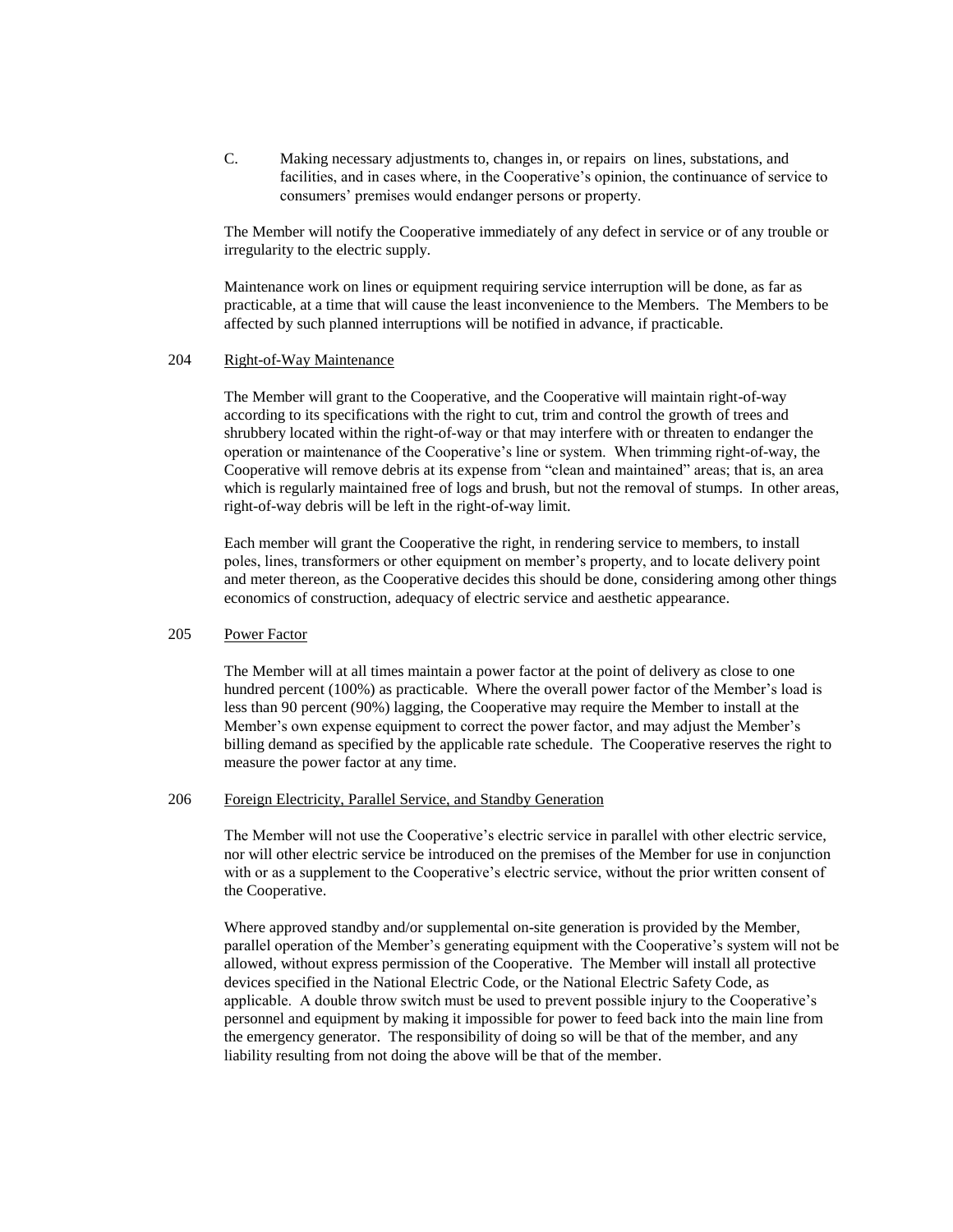C. Making necessary adjustments to, changes in, or repairs on lines, substations, and facilities, and in cases where, in the Cooperative's opinion, the continuance of service to consumers' premises would endanger persons or property.

The Member will notify the Cooperative immediately of any defect in service or of any trouble or irregularity to the electric supply.

Maintenance work on lines or equipment requiring service interruption will be done, as far as practicable, at a time that will cause the least inconvenience to the Members. The Members to be affected by such planned interruptions will be notified in advance, if practicable.

## 204 Right-of-Way Maintenance

The Member will grant to the Cooperative, and the Cooperative will maintain right-of-way according to its specifications with the right to cut, trim and control the growth of trees and shrubbery located within the right-of-way or that may interfere with or threaten to endanger the operation or maintenance of the Cooperative's line or system. When trimming right-of-way, the Cooperative will remove debris at its expense from "clean and maintained" areas; that is, an area which is regularly maintained free of logs and brush, but not the removal of stumps. In other areas, right-of-way debris will be left in the right-of-way limit.

Each member will grant the Cooperative the right, in rendering service to members, to install poles, lines, transformers or other equipment on member's property, and to locate delivery point and meter thereon, as the Cooperative decides this should be done, considering among other things economics of construction, adequacy of electric service and aesthetic appearance.

#### 205 Power Factor

The Member will at all times maintain a power factor at the point of delivery as close to one hundred percent (100%) as practicable. Where the overall power factor of the Member's load is less than 90 percent (90%) lagging, the Cooperative may require the Member to install at the Member's own expense equipment to correct the power factor, and may adjust the Member's billing demand as specified by the applicable rate schedule. The Cooperative reserves the right to measure the power factor at any time.

# 206 Foreign Electricity, Parallel Service, and Standby Generation

The Member will not use the Cooperative's electric service in parallel with other electric service, nor will other electric service be introduced on the premises of the Member for use in conjunction with or as a supplement to the Cooperative's electric service, without the prior written consent of the Cooperative.

Where approved standby and/or supplemental on-site generation is provided by the Member, parallel operation of the Member's generating equipment with the Cooperative's system will not be allowed, without express permission of the Cooperative. The Member will install all protective devices specified in the National Electric Code, or the National Electric Safety Code, as applicable. A double throw switch must be used to prevent possible injury to the Cooperative's personnel and equipment by making it impossible for power to feed back into the main line from the emergency generator. The responsibility of doing so will be that of the member, and any liability resulting from not doing the above will be that of the member.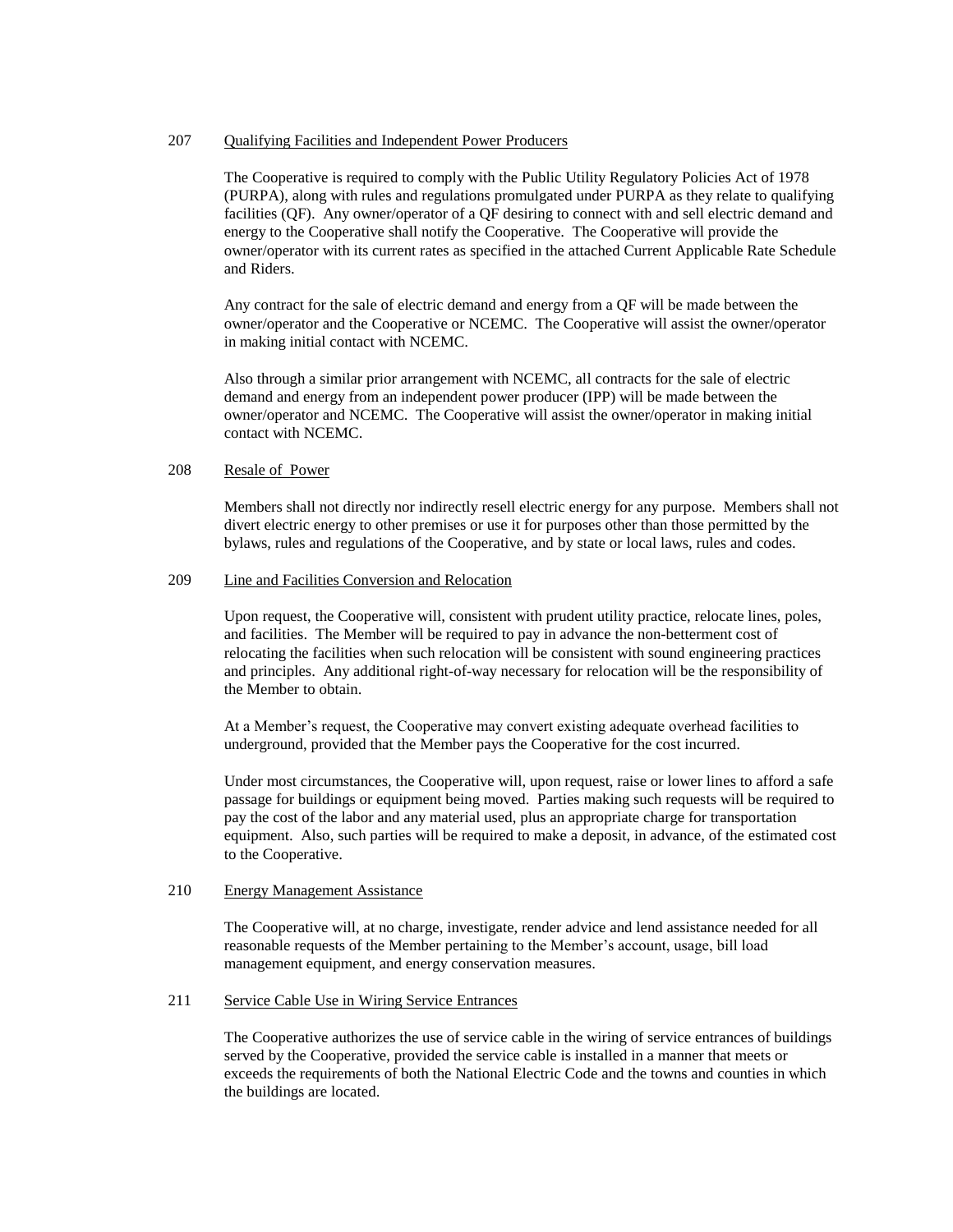#### 207 Qualifying Facilities and Independent Power Producers

The Cooperative is required to comply with the Public Utility Regulatory Policies Act of 1978 (PURPA), along with rules and regulations promulgated under PURPA as they relate to qualifying facilities (QF). Any owner/operator of a QF desiring to connect with and sell electric demand and energy to the Cooperative shall notify the Cooperative. The Cooperative will provide the owner/operator with its current rates as specified in the attached Current Applicable Rate Schedule and Riders.

Any contract for the sale of electric demand and energy from a QF will be made between the owner/operator and the Cooperative or NCEMC. The Cooperative will assist the owner/operator in making initial contact with NCEMC.

Also through a similar prior arrangement with NCEMC, all contracts for the sale of electric demand and energy from an independent power producer (IPP) will be made between the owner/operator and NCEMC. The Cooperative will assist the owner/operator in making initial contact with NCEMC.

# 208 Resale of Power

Members shall not directly nor indirectly resell electric energy for any purpose. Members shall not divert electric energy to other premises or use it for purposes other than those permitted by the bylaws, rules and regulations of the Cooperative, and by state or local laws, rules and codes.

#### 209 Line and Facilities Conversion and Relocation

Upon request, the Cooperative will, consistent with prudent utility practice, relocate lines, poles, and facilities. The Member will be required to pay in advance the non-betterment cost of relocating the facilities when such relocation will be consistent with sound engineering practices and principles. Any additional right-of-way necessary for relocation will be the responsibility of the Member to obtain.

At a Member's request, the Cooperative may convert existing adequate overhead facilities to underground, provided that the Member pays the Cooperative for the cost incurred.

Under most circumstances, the Cooperative will, upon request, raise or lower lines to afford a safe passage for buildings or equipment being moved. Parties making such requests will be required to pay the cost of the labor and any material used, plus an appropriate charge for transportation equipment. Also, such parties will be required to make a deposit, in advance, of the estimated cost to the Cooperative.

# 210 Energy Management Assistance

The Cooperative will, at no charge, investigate, render advice and lend assistance needed for all reasonable requests of the Member pertaining to the Member's account, usage, bill load management equipment, and energy conservation measures.

# 211 Service Cable Use in Wiring Service Entrances

The Cooperative authorizes the use of service cable in the wiring of service entrances of buildings served by the Cooperative, provided the service cable is installed in a manner that meets or exceeds the requirements of both the National Electric Code and the towns and counties in which the buildings are located.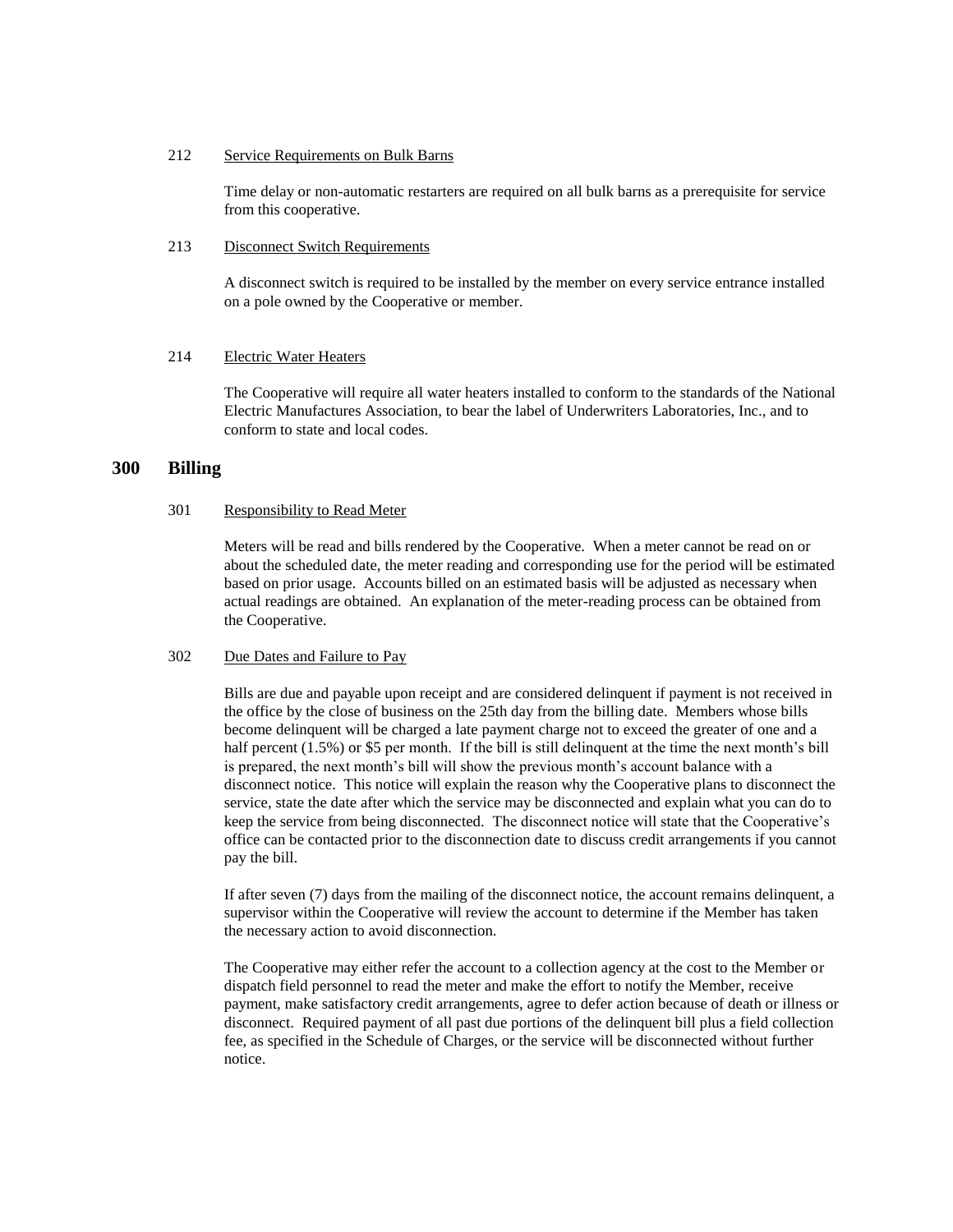#### 212 Service Requirements on Bulk Barns

Time delay or non-automatic restarters are required on all bulk barns as a prerequisite for service from this cooperative.

# 213 Disconnect Switch Requirements

A disconnect switch is required to be installed by the member on every service entrance installed on a pole owned by the Cooperative or member.

# 214 Electric Water Heaters

The Cooperative will require all water heaters installed to conform to the standards of the National Electric Manufactures Association, to bear the label of Underwriters Laboratories, Inc., and to conform to state and local codes.

# **300 Billing**

#### 301 Responsibility to Read Meter

Meters will be read and bills rendered by the Cooperative. When a meter cannot be read on or about the scheduled date, the meter reading and corresponding use for the period will be estimated based on prior usage. Accounts billed on an estimated basis will be adjusted as necessary when actual readings are obtained. An explanation of the meter-reading process can be obtained from the Cooperative.

#### 302 Due Dates and Failure to Pay

Bills are due and payable upon receipt and are considered delinquent if payment is not received in the office by the close of business on the 25th day from the billing date. Members whose bills become delinquent will be charged a late payment charge not to exceed the greater of one and a half percent (1.5%) or \$5 per month. If the bill is still delinquent at the time the next month's bill is prepared, the next month's bill will show the previous month's account balance with a disconnect notice. This notice will explain the reason why the Cooperative plans to disconnect the service, state the date after which the service may be disconnected and explain what you can do to keep the service from being disconnected. The disconnect notice will state that the Cooperative's office can be contacted prior to the disconnection date to discuss credit arrangements if you cannot pay the bill.

If after seven (7) days from the mailing of the disconnect notice, the account remains delinquent, a supervisor within the Cooperative will review the account to determine if the Member has taken the necessary action to avoid disconnection.

The Cooperative may either refer the account to a collection agency at the cost to the Member or dispatch field personnel to read the meter and make the effort to notify the Member, receive payment, make satisfactory credit arrangements, agree to defer action because of death or illness or disconnect. Required payment of all past due portions of the delinquent bill plus a field collection fee, as specified in the Schedule of Charges, or the service will be disconnected without further notice.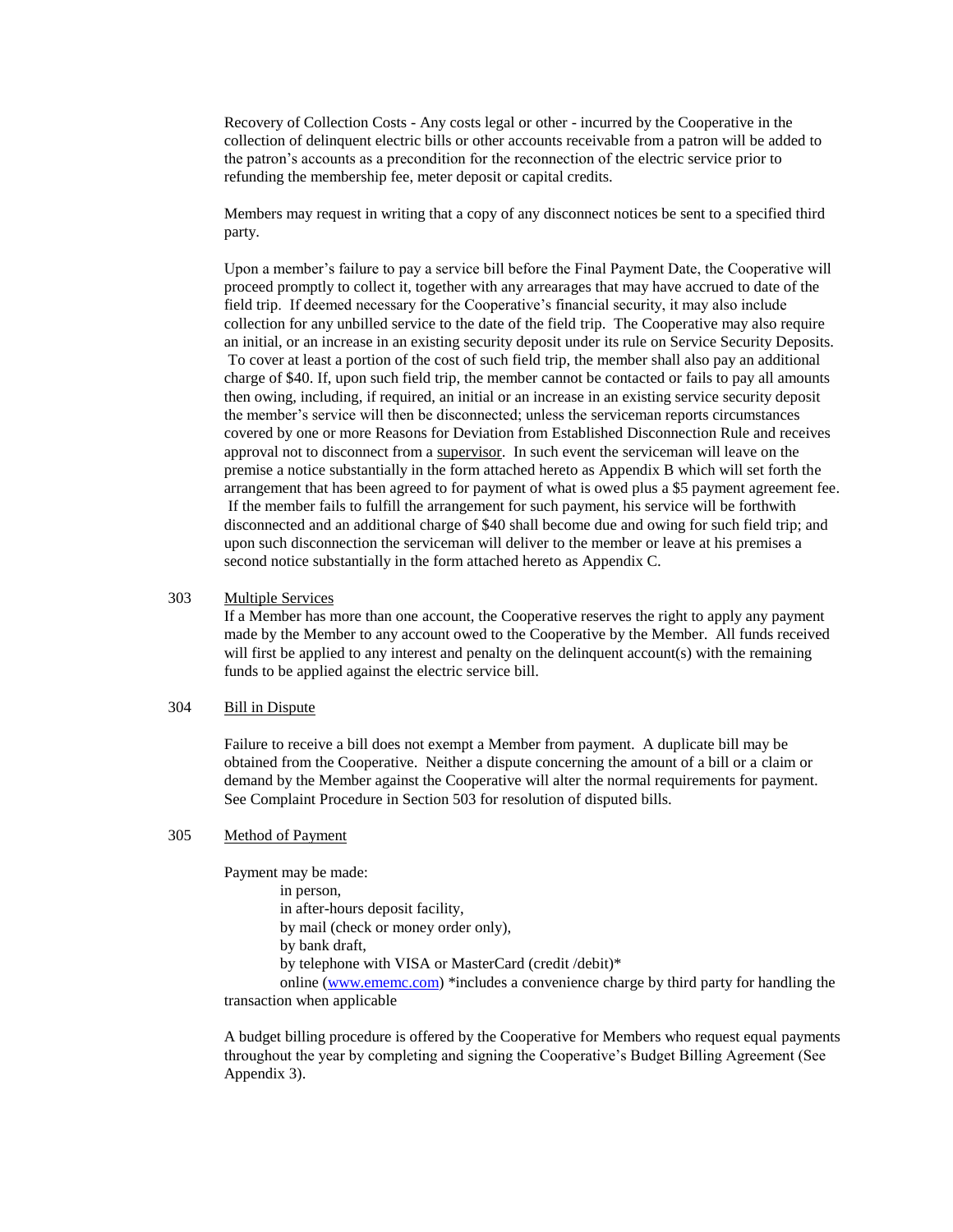Recovery of Collection Costs - Any costs legal or other - incurred by the Cooperative in the collection of delinquent electric bills or other accounts receivable from a patron will be added to the patron's accounts as a precondition for the reconnection of the electric service prior to refunding the membership fee, meter deposit or capital credits.

Members may request in writing that a copy of any disconnect notices be sent to a specified third party.

Upon a member's failure to pay a service bill before the Final Payment Date, the Cooperative will proceed promptly to collect it, together with any arrearages that may have accrued to date of the field trip. If deemed necessary for the Cooperative's financial security, it may also include collection for any unbilled service to the date of the field trip. The Cooperative may also require an initial, or an increase in an existing security deposit under its rule on Service Security Deposits. To cover at least a portion of the cost of such field trip, the member shall also pay an additional charge of \$40. If, upon such field trip, the member cannot be contacted or fails to pay all amounts then owing, including, if required, an initial or an increase in an existing service security deposit the member's service will then be disconnected; unless the serviceman reports circumstances covered by one or more Reasons for Deviation from Established Disconnection Rule and receives approval not to disconnect from a supervisor. In such event the serviceman will leave on the premise a notice substantially in the form attached hereto as Appendix B which will set forth the arrangement that has been agreed to for payment of what is owed plus a \$5 payment agreement fee. If the member fails to fulfill the arrangement for such payment, his service will be forthwith disconnected and an additional charge of \$40 shall become due and owing for such field trip; and upon such disconnection the serviceman will deliver to the member or leave at his premises a second notice substantially in the form attached hereto as Appendix C.

# 303 Multiple Services

If a Member has more than one account, the Cooperative reserves the right to apply any payment made by the Member to any account owed to the Cooperative by the Member. All funds received will first be applied to any interest and penalty on the delinguent account(s) with the remaining funds to be applied against the electric service bill.

#### 304 Bill in Dispute

Failure to receive a bill does not exempt a Member from payment. A duplicate bill may be obtained from the Cooperative. Neither a dispute concerning the amount of a bill or a claim or demand by the Member against the Cooperative will alter the normal requirements for payment. See Complaint Procedure in Section 503 for resolution of disputed bills.

#### 305 Method of Payment

Payment may be made: in person, in after-hours deposit facility, by mail (check or money order only), by bank draft, by telephone with VISA or MasterCard (credit /debit)\* online [\(www.ememc.com\)](http://www.ememc.com/) \*includes a convenience charge by third party for handling the transaction when applicable

A budget billing procedure is offered by the Cooperative for Members who request equal payments throughout the year by completing and signing the Cooperative's Budget Billing Agreement (See Appendix 3).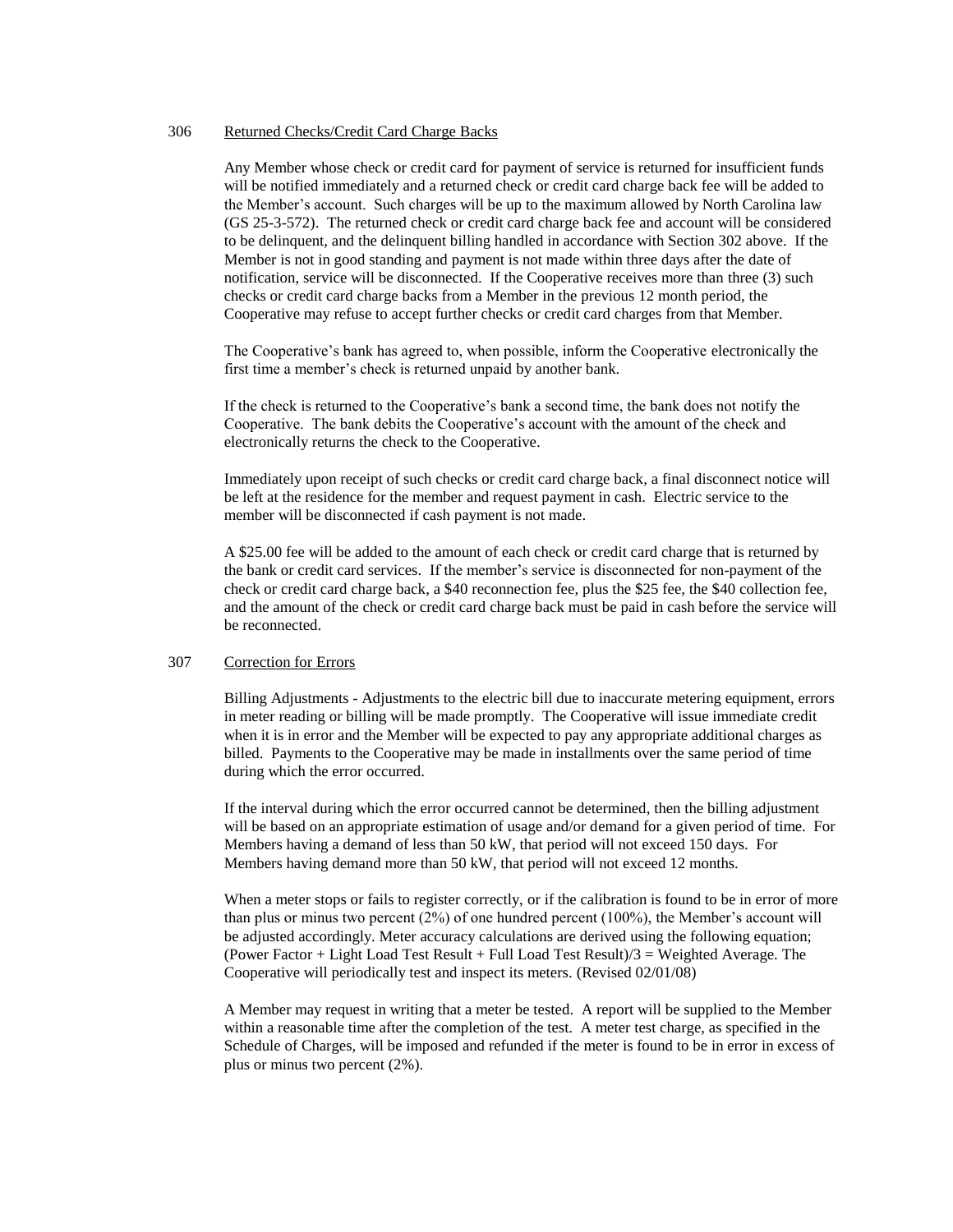#### 306 Returned Checks/Credit Card Charge Backs

Any Member whose check or credit card for payment of service is returned for insufficient funds will be notified immediately and a returned check or credit card charge back fee will be added to the Member's account. Such charges will be up to the maximum allowed by North Carolina law (GS 25-3-572). The returned check or credit card charge back fee and account will be considered to be delinquent, and the delinquent billing handled in accordance with Section 302 above. If the Member is not in good standing and payment is not made within three days after the date of notification, service will be disconnected. If the Cooperative receives more than three (3) such checks or credit card charge backs from a Member in the previous 12 month period, the Cooperative may refuse to accept further checks or credit card charges from that Member.

The Cooperative's bank has agreed to, when possible, inform the Cooperative electronically the first time a member's check is returned unpaid by another bank.

If the check is returned to the Cooperative's bank a second time, the bank does not notify the Cooperative. The bank debits the Cooperative's account with the amount of the check and electronically returns the check to the Cooperative.

Immediately upon receipt of such checks or credit card charge back, a final disconnect notice will be left at the residence for the member and request payment in cash. Electric service to the member will be disconnected if cash payment is not made.

A \$25.00 fee will be added to the amount of each check or credit card charge that is returned by the bank or credit card services. If the member's service is disconnected for non-payment of the check or credit card charge back, a \$40 reconnection fee, plus the \$25 fee, the \$40 collection fee, and the amount of the check or credit card charge back must be paid in cash before the service will be reconnected.

#### 307 Correction for Errors

Billing Adjustments - Adjustments to the electric bill due to inaccurate metering equipment, errors in meter reading or billing will be made promptly. The Cooperative will issue immediate credit when it is in error and the Member will be expected to pay any appropriate additional charges as billed. Payments to the Cooperative may be made in installments over the same period of time during which the error occurred.

If the interval during which the error occurred cannot be determined, then the billing adjustment will be based on an appropriate estimation of usage and/or demand for a given period of time. For Members having a demand of less than 50 kW, that period will not exceed 150 days. For Members having demand more than 50 kW, that period will not exceed 12 months.

When a meter stops or fails to register correctly, or if the calibration is found to be in error of more than plus or minus two percent  $(2\%)$  of one hundred percent  $(100\%)$ , the Member's account will be adjusted accordingly. Meter accuracy calculations are derived using the following equation; (Power Factor  $+$  Light Load Test Result  $+$  Full Load Test Result)/3 = Weighted Average. The Cooperative will periodically test and inspect its meters. (Revised 02/01/08)

A Member may request in writing that a meter be tested. A report will be supplied to the Member within a reasonable time after the completion of the test. A meter test charge, as specified in the Schedule of Charges, will be imposed and refunded if the meter is found to be in error in excess of plus or minus two percent (2%).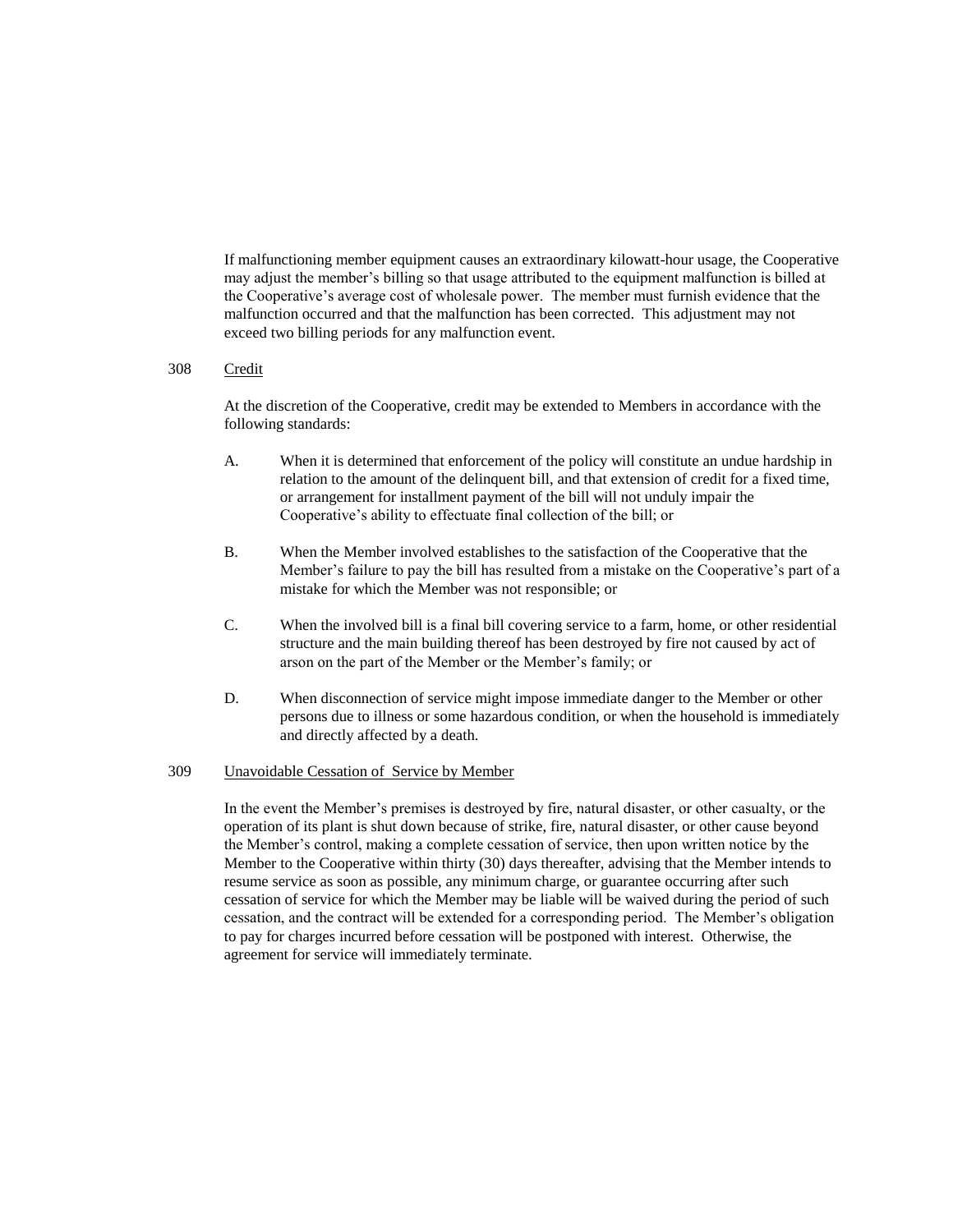If malfunctioning member equipment causes an extraordinary kilowatt-hour usage, the Cooperative may adjust the member's billing so that usage attributed to the equipment malfunction is billed at the Cooperative's average cost of wholesale power. The member must furnish evidence that the malfunction occurred and that the malfunction has been corrected. This adjustment may not exceed two billing periods for any malfunction event.

#### 308 Credit

At the discretion of the Cooperative, credit may be extended to Members in accordance with the following standards:

- A. When it is determined that enforcement of the policy will constitute an undue hardship in relation to the amount of the delinquent bill, and that extension of credit for a fixed time, or arrangement for installment payment of the bill will not unduly impair the Cooperative's ability to effectuate final collection of the bill; or
- B. When the Member involved establishes to the satisfaction of the Cooperative that the Member's failure to pay the bill has resulted from a mistake on the Cooperative's part of a mistake for which the Member was not responsible; or
- C. When the involved bill is a final bill covering service to a farm, home, or other residential structure and the main building thereof has been destroyed by fire not caused by act of arson on the part of the Member or the Member's family; or
- D. When disconnection of service might impose immediate danger to the Member or other persons due to illness or some hazardous condition, or when the household is immediately and directly affected by a death.

#### 309 Unavoidable Cessation of Service by Member

In the event the Member's premises is destroyed by fire, natural disaster, or other casualty, or the operation of its plant is shut down because of strike, fire, natural disaster, or other cause beyond the Member's control, making a complete cessation of service, then upon written notice by the Member to the Cooperative within thirty (30) days thereafter, advising that the Member intends to resume service as soon as possible, any minimum charge, or guarantee occurring after such cessation of service for which the Member may be liable will be waived during the period of such cessation, and the contract will be extended for a corresponding period. The Member's obligation to pay for charges incurred before cessation will be postponed with interest. Otherwise, the agreement for service will immediately terminate.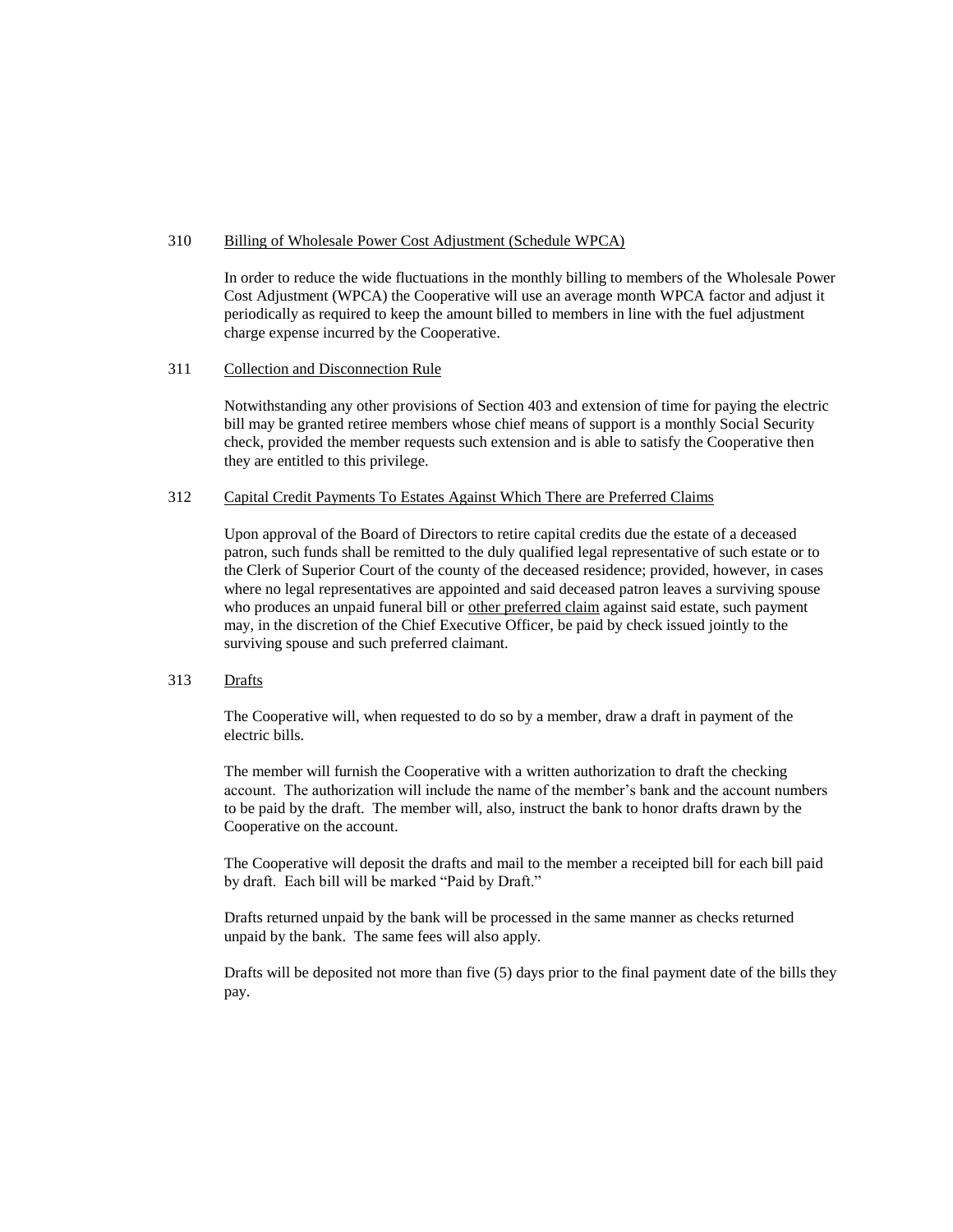#### 310 Billing of Wholesale Power Cost Adjustment (Schedule WPCA)

In order to reduce the wide fluctuations in the monthly billing to members of the Wholesale Power Cost Adjustment (WPCA) the Cooperative will use an average month WPCA factor and adjust it periodically as required to keep the amount billed to members in line with the fuel adjustment charge expense incurred by the Cooperative.

# 311 Collection and Disconnection Rule

Notwithstanding any other provisions of Section 403 and extension of time for paying the electric bill may be granted retiree members whose chief means of support is a monthly Social Security check, provided the member requests such extension and is able to satisfy the Cooperative then they are entitled to this privilege.

#### 312 Capital Credit Payments To Estates Against Which There are Preferred Claims

Upon approval of the Board of Directors to retire capital credits due the estate of a deceased patron, such funds shall be remitted to the duly qualified legal representative of such estate or to the Clerk of Superior Court of the county of the deceased residence; provided, however, in cases where no legal representatives are appointed and said deceased patron leaves a surviving spouse who produces an unpaid funeral bill or other preferred claim against said estate, such payment may, in the discretion of the Chief Executive Officer, be paid by check issued jointly to the surviving spouse and such preferred claimant.

# 313 Drafts

The Cooperative will, when requested to do so by a member, draw a draft in payment of the electric bills.

The member will furnish the Cooperative with a written authorization to draft the checking account. The authorization will include the name of the member's bank and the account numbers to be paid by the draft. The member will, also, instruct the bank to honor drafts drawn by the Cooperative on the account.

The Cooperative will deposit the drafts and mail to the member a receipted bill for each bill paid by draft. Each bill will be marked "Paid by Draft."

Drafts returned unpaid by the bank will be processed in the same manner as checks returned unpaid by the bank. The same fees will also apply.

Drafts will be deposited not more than five (5) days prior to the final payment date of the bills they pay.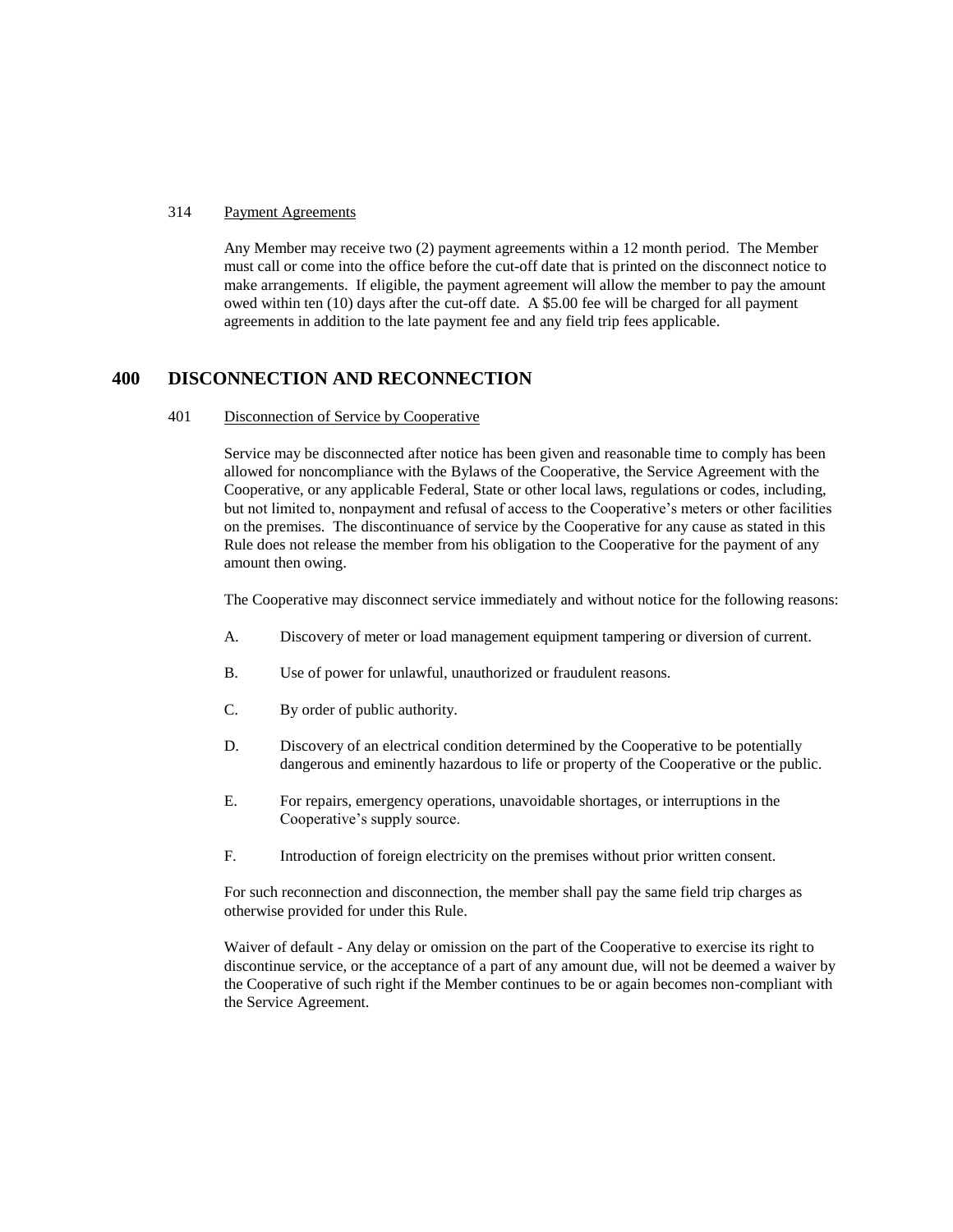#### 314 Payment Agreements

Any Member may receive two (2) payment agreements within a 12 month period. The Member must call or come into the office before the cut-off date that is printed on the disconnect notice to make arrangements. If eligible, the payment agreement will allow the member to pay the amount owed within ten (10) days after the cut-off date. A \$5.00 fee will be charged for all payment agreements in addition to the late payment fee and any field trip fees applicable.

# **400 DISCONNECTION AND RECONNECTION**

#### 401 Disconnection of Service by Cooperative

Service may be disconnected after notice has been given and reasonable time to comply has been allowed for noncompliance with the Bylaws of the Cooperative, the Service Agreement with the Cooperative, or any applicable Federal, State or other local laws, regulations or codes, including, but not limited to, nonpayment and refusal of access to the Cooperative's meters or other facilities on the premises. The discontinuance of service by the Cooperative for any cause as stated in this Rule does not release the member from his obligation to the Cooperative for the payment of any amount then owing.

The Cooperative may disconnect service immediately and without notice for the following reasons:

- A. Discovery of meter or load management equipment tampering or diversion of current.
- B. Use of power for unlawful, unauthorized or fraudulent reasons.
- C. By order of public authority.
- D. Discovery of an electrical condition determined by the Cooperative to be potentially dangerous and eminently hazardous to life or property of the Cooperative or the public.
- E. For repairs, emergency operations, unavoidable shortages, or interruptions in the Cooperative's supply source.
- F. Introduction of foreign electricity on the premises without prior written consent.

For such reconnection and disconnection, the member shall pay the same field trip charges as otherwise provided for under this Rule.

Waiver of default - Any delay or omission on the part of the Cooperative to exercise its right to discontinue service, or the acceptance of a part of any amount due, will not be deemed a waiver by the Cooperative of such right if the Member continues to be or again becomes non-compliant with the Service Agreement.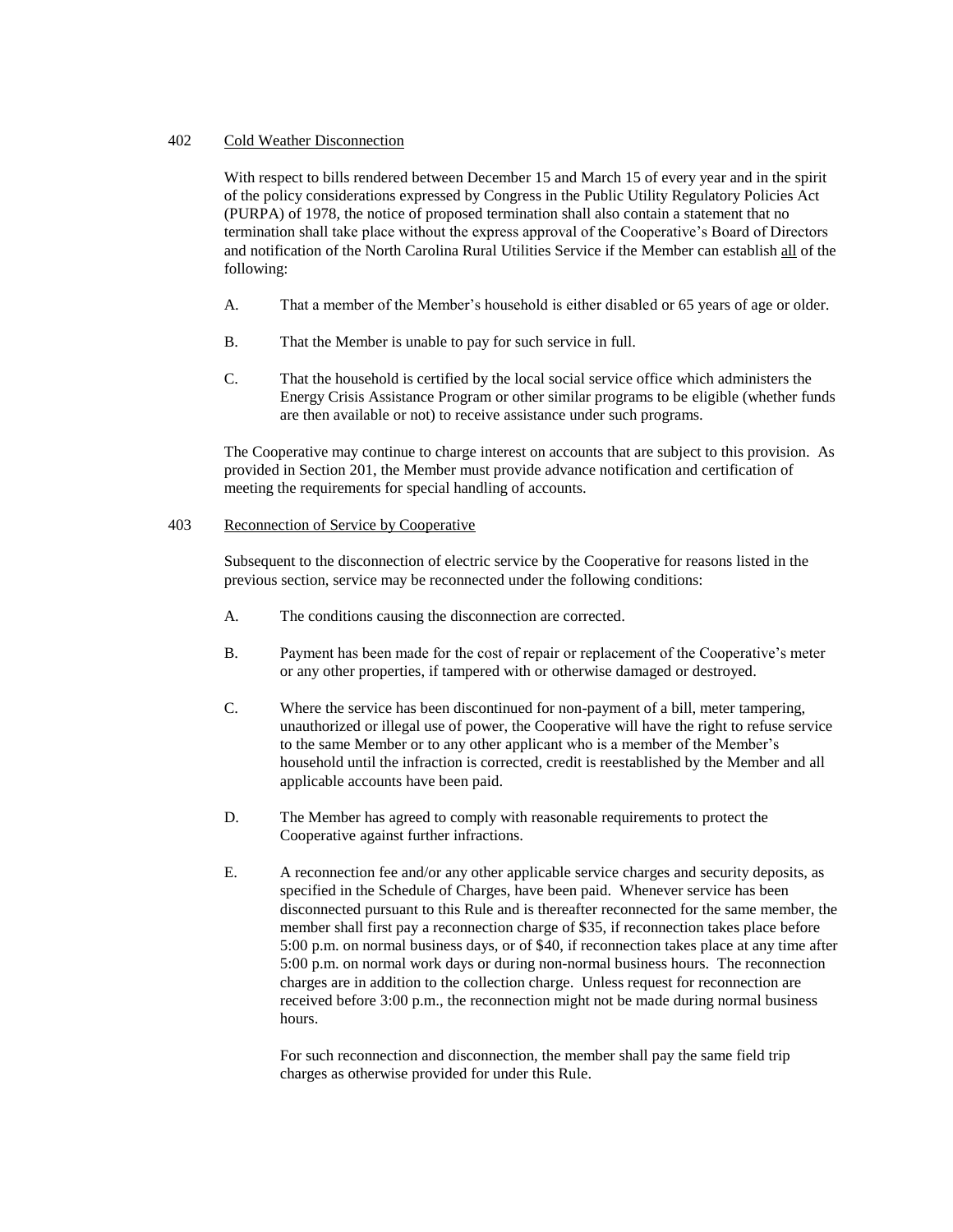# 402 Cold Weather Disconnection

With respect to bills rendered between December 15 and March 15 of every year and in the spirit of the policy considerations expressed by Congress in the Public Utility Regulatory Policies Act (PURPA) of 1978, the notice of proposed termination shall also contain a statement that no termination shall take place without the express approval of the Cooperative's Board of Directors and notification of the North Carolina Rural Utilities Service if the Member can establish all of the following:

- A. That a member of the Member's household is either disabled or 65 years of age or older.
- B. That the Member is unable to pay for such service in full.
- C. That the household is certified by the local social service office which administers the Energy Crisis Assistance Program or other similar programs to be eligible (whether funds are then available or not) to receive assistance under such programs.

The Cooperative may continue to charge interest on accounts that are subject to this provision. As provided in Section 201, the Member must provide advance notification and certification of meeting the requirements for special handling of accounts.

# 403 Reconnection of Service by Cooperative

Subsequent to the disconnection of electric service by the Cooperative for reasons listed in the previous section, service may be reconnected under the following conditions:

- A. The conditions causing the disconnection are corrected.
- B. Payment has been made for the cost of repair or replacement of the Cooperative's meter or any other properties, if tampered with or otherwise damaged or destroyed.
- C. Where the service has been discontinued for non-payment of a bill, meter tampering, unauthorized or illegal use of power, the Cooperative will have the right to refuse service to the same Member or to any other applicant who is a member of the Member's household until the infraction is corrected, credit is reestablished by the Member and all applicable accounts have been paid.
- D. The Member has agreed to comply with reasonable requirements to protect the Cooperative against further infractions.
- E. A reconnection fee and/or any other applicable service charges and security deposits, as specified in the Schedule of Charges, have been paid. Whenever service has been disconnected pursuant to this Rule and is thereafter reconnected for the same member, the member shall first pay a reconnection charge of \$35, if reconnection takes place before 5:00 p.m. on normal business days, or of \$40, if reconnection takes place at any time after 5:00 p.m. on normal work days or during non-normal business hours. The reconnection charges are in addition to the collection charge. Unless request for reconnection are received before 3:00 p.m., the reconnection might not be made during normal business hours.

For such reconnection and disconnection, the member shall pay the same field trip charges as otherwise provided for under this Rule.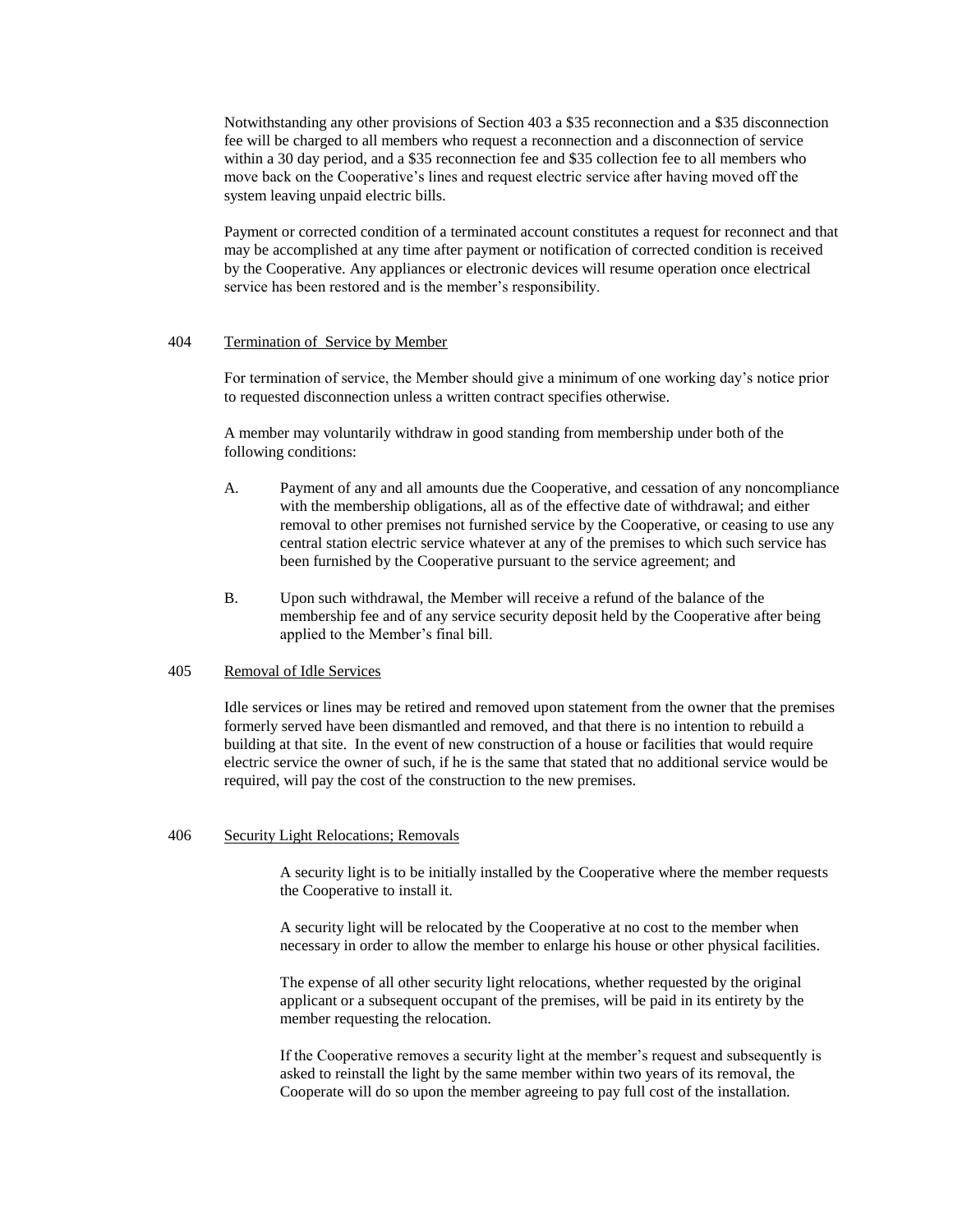Notwithstanding any other provisions of Section 403 a \$35 reconnection and a \$35 disconnection fee will be charged to all members who request a reconnection and a disconnection of service within a 30 day period, and a \$35 reconnection fee and \$35 collection fee to all members who move back on the Cooperative's lines and request electric service after having moved off the system leaving unpaid electric bills.

Payment or corrected condition of a terminated account constitutes a request for reconnect and that may be accomplished at any time after payment or notification of corrected condition is received by the Cooperative. Any appliances or electronic devices will resume operation once electrical service has been restored and is the member's responsibility.

#### 404 Termination of Service by Member

For termination of service, the Member should give a minimum of one working day's notice prior to requested disconnection unless a written contract specifies otherwise.

A member may voluntarily withdraw in good standing from membership under both of the following conditions:

- A. Payment of any and all amounts due the Cooperative, and cessation of any noncompliance with the membership obligations, all as of the effective date of withdrawal; and either removal to other premises not furnished service by the Cooperative, or ceasing to use any central station electric service whatever at any of the premises to which such service has been furnished by the Cooperative pursuant to the service agreement; and
- B. Upon such withdrawal, the Member will receive a refund of the balance of the membership fee and of any service security deposit held by the Cooperative after being applied to the Member's final bill.

# 405 Removal of Idle Services

Idle services or lines may be retired and removed upon statement from the owner that the premises formerly served have been dismantled and removed, and that there is no intention to rebuild a building at that site. In the event of new construction of a house or facilities that would require electric service the owner of such, if he is the same that stated that no additional service would be required, will pay the cost of the construction to the new premises.

#### 406 Security Light Relocations; Removals

A security light is to be initially installed by the Cooperative where the member requests the Cooperative to install it.

A security light will be relocated by the Cooperative at no cost to the member when necessary in order to allow the member to enlarge his house or other physical facilities.

The expense of all other security light relocations, whether requested by the original applicant or a subsequent occupant of the premises, will be paid in its entirety by the member requesting the relocation.

If the Cooperative removes a security light at the member's request and subsequently is asked to reinstall the light by the same member within two years of its removal, the Cooperate will do so upon the member agreeing to pay full cost of the installation.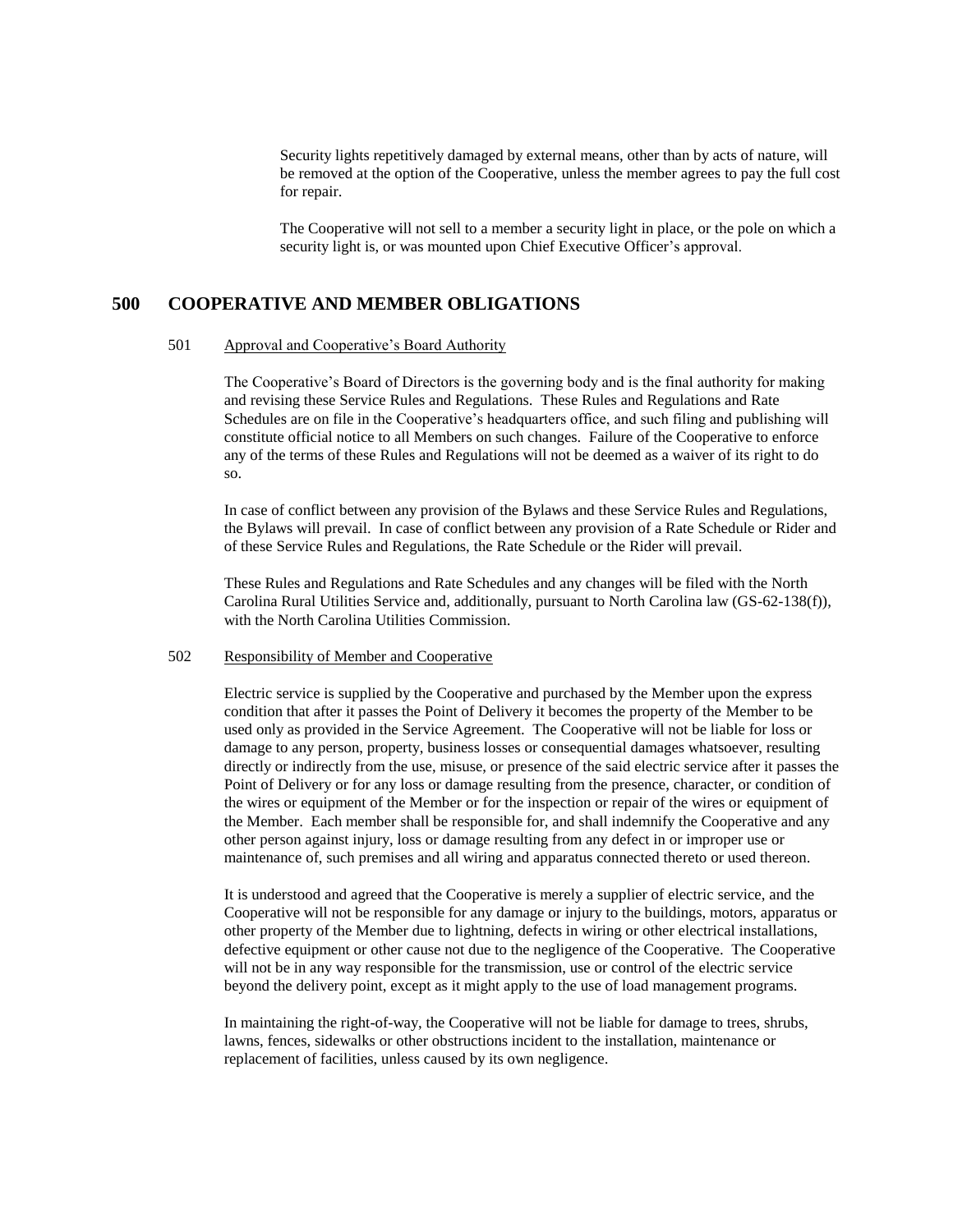Security lights repetitively damaged by external means, other than by acts of nature, will be removed at the option of the Cooperative, unless the member agrees to pay the full cost for repair.

The Cooperative will not sell to a member a security light in place, or the pole on which a security light is, or was mounted upon Chief Executive Officer's approval.

# **500 COOPERATIVE AND MEMBER OBLIGATIONS**

#### 501 Approval and Cooperative's Board Authority

The Cooperative's Board of Directors is the governing body and is the final authority for making and revising these Service Rules and Regulations. These Rules and Regulations and Rate Schedules are on file in the Cooperative's headquarters office, and such filing and publishing will constitute official notice to all Members on such changes. Failure of the Cooperative to enforce any of the terms of these Rules and Regulations will not be deemed as a waiver of its right to do so.

In case of conflict between any provision of the Bylaws and these Service Rules and Regulations, the Bylaws will prevail. In case of conflict between any provision of a Rate Schedule or Rider and of these Service Rules and Regulations, the Rate Schedule or the Rider will prevail.

These Rules and Regulations and Rate Schedules and any changes will be filed with the North Carolina Rural Utilities Service and, additionally, pursuant to North Carolina law (GS-62-138(f)), with the North Carolina Utilities Commission.

#### 502 Responsibility of Member and Cooperative

Electric service is supplied by the Cooperative and purchased by the Member upon the express condition that after it passes the Point of Delivery it becomes the property of the Member to be used only as provided in the Service Agreement. The Cooperative will not be liable for loss or damage to any person, property, business losses or consequential damages whatsoever, resulting directly or indirectly from the use, misuse, or presence of the said electric service after it passes the Point of Delivery or for any loss or damage resulting from the presence, character, or condition of the wires or equipment of the Member or for the inspection or repair of the wires or equipment of the Member. Each member shall be responsible for, and shall indemnify the Cooperative and any other person against injury, loss or damage resulting from any defect in or improper use or maintenance of, such premises and all wiring and apparatus connected thereto or used thereon.

It is understood and agreed that the Cooperative is merely a supplier of electric service, and the Cooperative will not be responsible for any damage or injury to the buildings, motors, apparatus or other property of the Member due to lightning, defects in wiring or other electrical installations, defective equipment or other cause not due to the negligence of the Cooperative. The Cooperative will not be in any way responsible for the transmission, use or control of the electric service beyond the delivery point, except as it might apply to the use of load management programs.

In maintaining the right-of-way, the Cooperative will not be liable for damage to trees, shrubs, lawns, fences, sidewalks or other obstructions incident to the installation, maintenance or replacement of facilities, unless caused by its own negligence.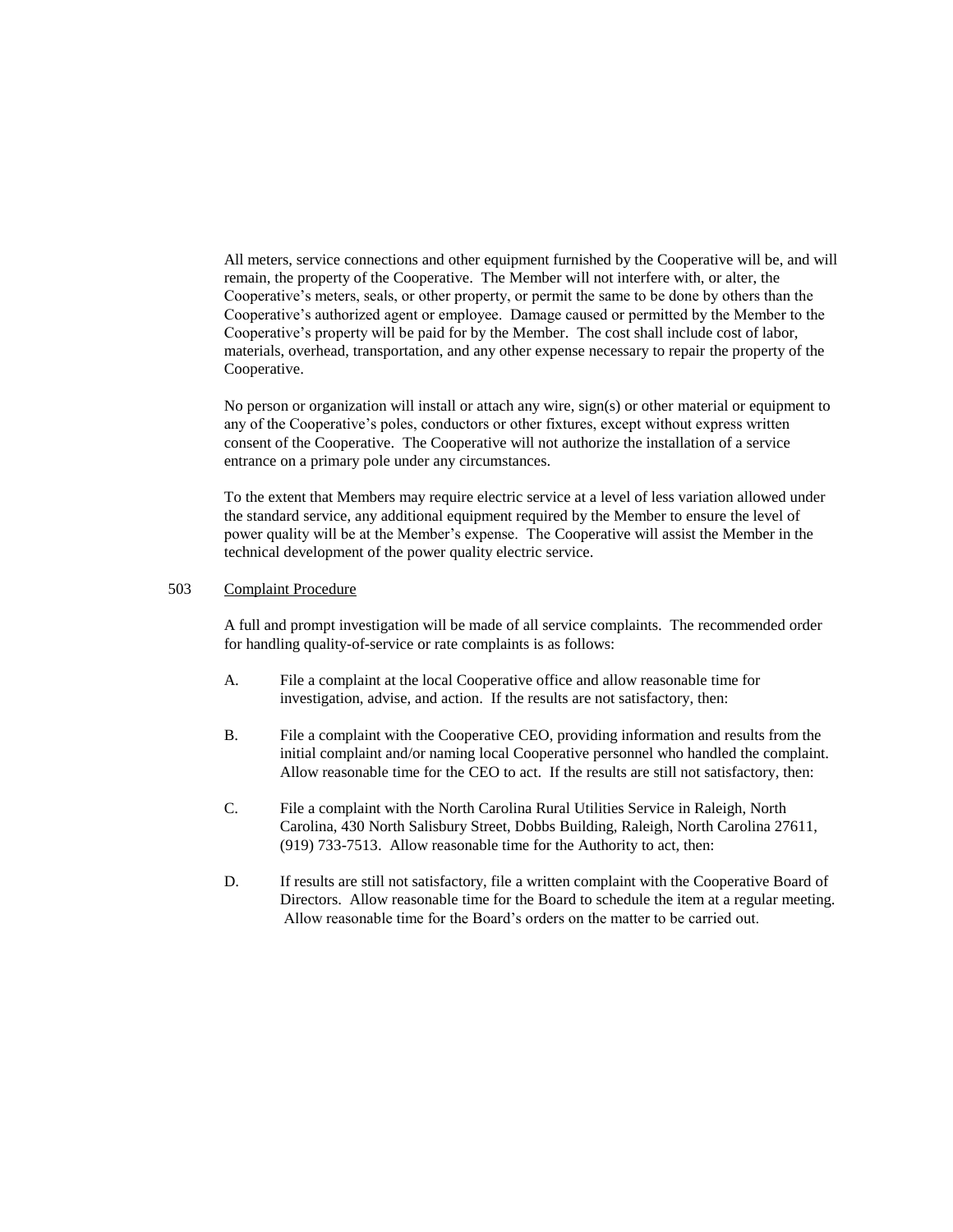All meters, service connections and other equipment furnished by the Cooperative will be, and will remain, the property of the Cooperative. The Member will not interfere with, or alter, the Cooperative's meters, seals, or other property, or permit the same to be done by others than the Cooperative's authorized agent or employee. Damage caused or permitted by the Member to the Cooperative's property will be paid for by the Member. The cost shall include cost of labor, materials, overhead, transportation, and any other expense necessary to repair the property of the Cooperative.

No person or organization will install or attach any wire, sign(s) or other material or equipment to any of the Cooperative's poles, conductors or other fixtures, except without express written consent of the Cooperative. The Cooperative will not authorize the installation of a service entrance on a primary pole under any circumstances.

To the extent that Members may require electric service at a level of less variation allowed under the standard service, any additional equipment required by the Member to ensure the level of power quality will be at the Member's expense. The Cooperative will assist the Member in the technical development of the power quality electric service.

#### 503 Complaint Procedure

A full and prompt investigation will be made of all service complaints. The recommended order for handling quality-of-service or rate complaints is as follows:

- A. File a complaint at the local Cooperative office and allow reasonable time for investigation, advise, and action. If the results are not satisfactory, then:
- B. File a complaint with the Cooperative CEO, providing information and results from the initial complaint and/or naming local Cooperative personnel who handled the complaint. Allow reasonable time for the CEO to act. If the results are still not satisfactory, then:
- C. File a complaint with the North Carolina Rural Utilities Service in Raleigh, North Carolina, 430 North Salisbury Street, Dobbs Building, Raleigh, North Carolina 27611, (919) 733-7513. Allow reasonable time for the Authority to act, then:
- D. If results are still not satisfactory, file a written complaint with the Cooperative Board of Directors. Allow reasonable time for the Board to schedule the item at a regular meeting. Allow reasonable time for the Board's orders on the matter to be carried out.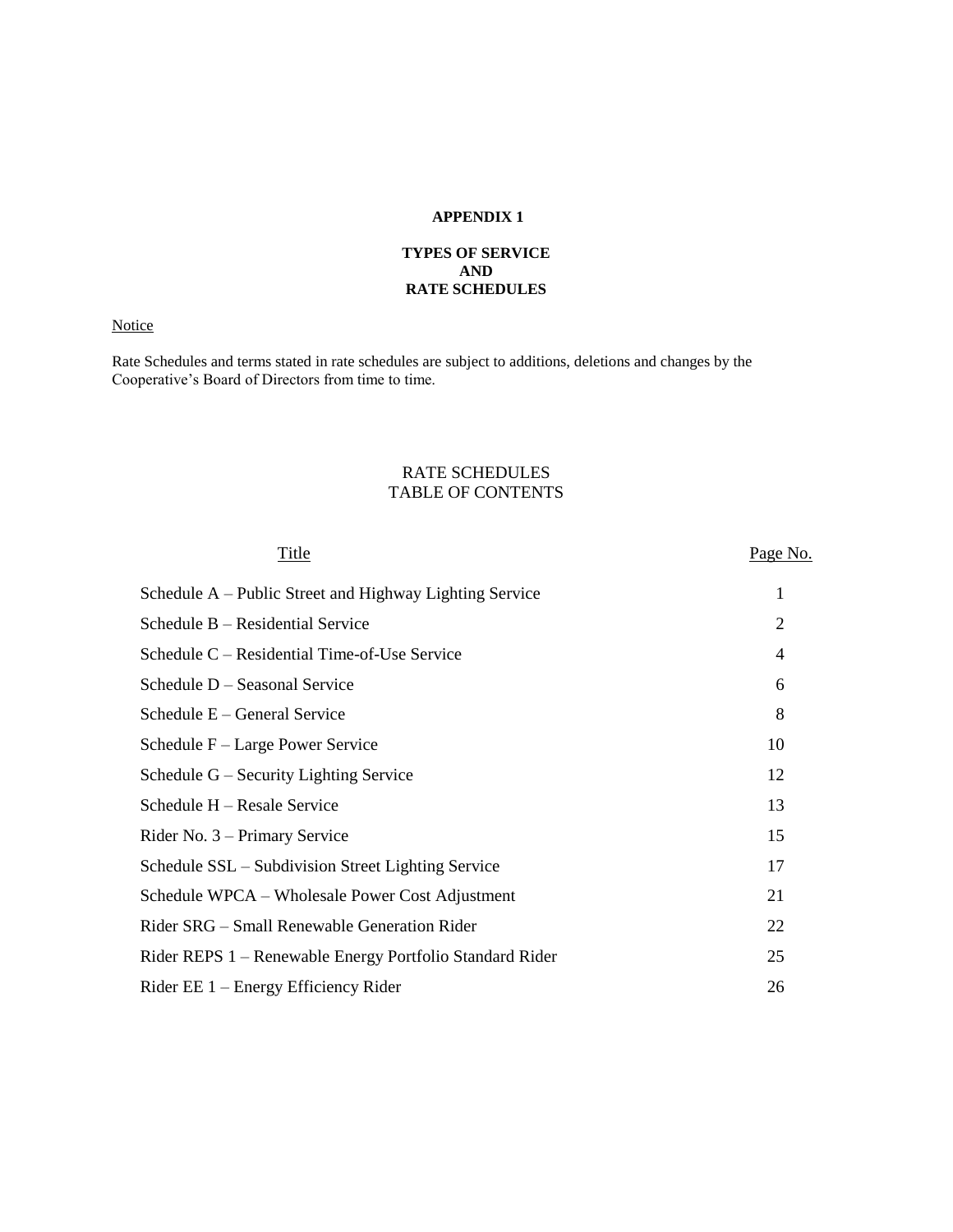# **APPENDIX 1**

# **TYPES OF SERVICE AND RATE SCHEDULES**

# **Notice**

Rate Schedules and terms stated in rate schedules are subject to additions, deletions and changes by the Cooperative's Board of Directors from time to time.

# RATE SCHEDULES TABLE OF CONTENTS

| Title                                                    | Page No. |
|----------------------------------------------------------|----------|
| Schedule A – Public Street and Highway Lighting Service  | 1        |
| Schedule B – Residential Service                         | 2        |
| Schedule C – Residential Time-of-Use Service             | 4        |
| Schedule D - Seasonal Service                            | 6        |
| Schedule E – General Service                             | 8        |
| Schedule F – Large Power Service                         | 10       |
| Schedule G – Security Lighting Service                   | 12       |
| Schedule H – Resale Service                              | 13       |
| Rider No. 3 – Primary Service                            | 15       |
| Schedule SSL – Subdivision Street Lighting Service       | 17       |
| Schedule WPCA – Wholesale Power Cost Adjustment          | 21       |
| Rider SRG – Small Renewable Generation Rider             | 22       |
| Rider REPS 1 – Renewable Energy Portfolio Standard Rider | 25       |
| Rider EE $1$ – Energy Efficiency Rider                   | 26       |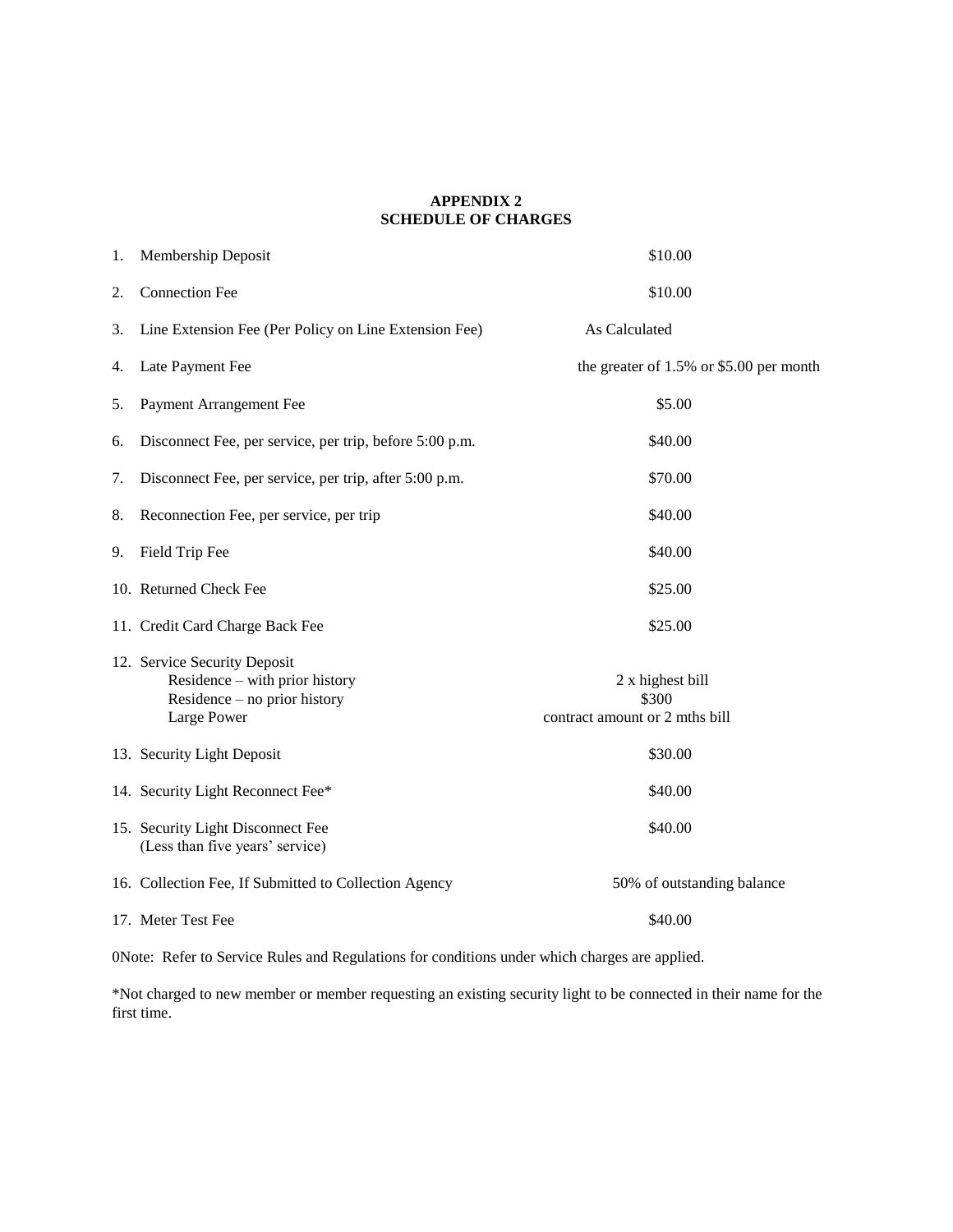# **APPENDIX 2 SCHEDULE OF CHARGES**

| 1. | Membership Deposit                                                                                            | \$10.00                                                     |
|----|---------------------------------------------------------------------------------------------------------------|-------------------------------------------------------------|
| 2. | <b>Connection Fee</b>                                                                                         | \$10.00                                                     |
| 3. | Line Extension Fee (Per Policy on Line Extension Fee)                                                         | As Calculated                                               |
| 4. | Late Payment Fee                                                                                              | the greater of $1.5\%$ or \$5.00 per month                  |
| 5. | Payment Arrangement Fee                                                                                       | \$5.00                                                      |
| 6. | Disconnect Fee, per service, per trip, before 5:00 p.m.                                                       | \$40.00                                                     |
| 7. | Disconnect Fee, per service, per trip, after 5:00 p.m.                                                        | \$70.00                                                     |
| 8. | Reconnection Fee, per service, per trip                                                                       | \$40.00                                                     |
| 9. | Field Trip Fee                                                                                                | \$40.00                                                     |
|    | 10. Returned Check Fee                                                                                        | \$25.00                                                     |
|    | 11. Credit Card Charge Back Fee                                                                               | \$25.00                                                     |
|    | 12. Service Security Deposit<br>Residence – with prior history<br>Residence – no prior history<br>Large Power | 2 x highest bill<br>\$300<br>contract amount or 2 mths bill |
|    | 13. Security Light Deposit                                                                                    | \$30.00                                                     |
|    | 14. Security Light Reconnect Fee*                                                                             | \$40.00                                                     |
|    | 15. Security Light Disconnect Fee<br>(Less than five years' service)                                          | \$40.00                                                     |
|    | 16. Collection Fee, If Submitted to Collection Agency                                                         | 50% of outstanding balance                                  |
|    | 17. Meter Test Fee                                                                                            | \$40.00                                                     |

0Note: Refer to Service Rules and Regulations for conditions under which charges are applied.

\*Not charged to new member or member requesting an existing security light to be connected in their name for the first time.